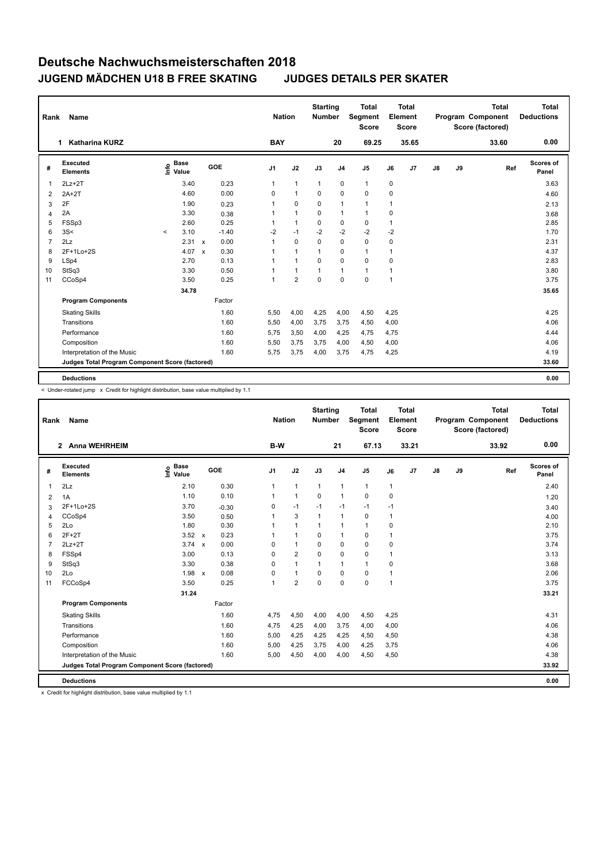| Rank           | Name                                            |          |                      |                           |         |                | <b>Nation</b>  | <b>Starting</b><br><b>Number</b> |                | <b>Total</b><br>Segment<br><b>Score</b> |              | <b>Total</b><br>Element<br><b>Score</b> |    |    | <b>Total</b><br>Program Component<br>Score (factored) | <b>Total</b><br><b>Deductions</b> |
|----------------|-------------------------------------------------|----------|----------------------|---------------------------|---------|----------------|----------------|----------------------------------|----------------|-----------------------------------------|--------------|-----------------------------------------|----|----|-------------------------------------------------------|-----------------------------------|
|                | <b>Katharina KURZ</b><br>1.                     |          |                      |                           |         | <b>BAY</b>     |                |                                  | 20             | 69.25                                   |              | 35.65                                   |    |    | 33.60                                                 | 0.00                              |
| #              | <b>Executed</b><br><b>Elements</b>              | ١nfo     | <b>Base</b><br>Value |                           | GOE     | J <sub>1</sub> | J2             | J3                               | J <sub>4</sub> | J <sub>5</sub>                          | J6           | J7                                      | J8 | J9 | Ref                                                   | Scores of<br>Panel                |
| -1             | $2Lz+2T$                                        |          | 3.40                 |                           | 0.23    | 1              | $\mathbf{1}$   | $\mathbf{1}$                     | $\mathbf 0$    | $\mathbf{1}$                            | 0            |                                         |    |    |                                                       | 3.63                              |
| $\overline{2}$ | $2A+2T$                                         |          | 4.60                 |                           | 0.00    | 0              | $\mathbf{1}$   | 0                                | $\mathbf 0$    | $\mathbf 0$                             | 0            |                                         |    |    |                                                       | 4.60                              |
| 3              | 2F                                              |          | 1.90                 |                           | 0.23    |                | $\mathbf 0$    | 0                                | $\mathbf{1}$   | 1                                       | 1            |                                         |    |    |                                                       | 2.13                              |
| 4              | 2A                                              |          | 3.30                 |                           | 0.38    |                | $\overline{1}$ | 0                                | $\mathbf{1}$   | 1                                       | 0            |                                         |    |    |                                                       | 3.68                              |
| 5              | FSSp3                                           |          | 2.60                 |                           | 0.25    |                | $\mathbf{1}$   | 0                                | 0              | $\mathbf 0$                             | 1            |                                         |    |    |                                                       | 2.85                              |
| 6              | 3S<                                             | $\hat{}$ | 3.10                 |                           | $-1.40$ | $-2$           | $-1$           | $-2$                             | $-2$           | $-2$                                    | $-2$         |                                         |    |    |                                                       | 1.70                              |
| 7              | 2Lz                                             |          | 2.31                 | $\mathsf{x}$              | 0.00    | 1              | $\mathbf 0$    | 0                                | $\mathbf 0$    | $\mathbf 0$                             | 0            |                                         |    |    |                                                       | 2.31                              |
| 8              | 2F+1Lo+2S                                       |          | 4.07                 | $\boldsymbol{\mathsf{x}}$ | 0.30    | 1              | $\mathbf{1}$   | $\mathbf{1}$                     | $\mathbf 0$    | $\mathbf{1}$                            | 1            |                                         |    |    |                                                       | 4.37                              |
| 9              | LSp4                                            |          | 2.70                 |                           | 0.13    |                | $\mathbf{1}$   | 0                                | $\mathbf 0$    | $\mathbf 0$                             | 0            |                                         |    |    |                                                       | 2.83                              |
| 10             | StSq3                                           |          | 3.30                 |                           | 0.50    |                | $\mathbf{1}$   | $\mathbf{1}$                     | $\mathbf{1}$   | 1                                       | 1            |                                         |    |    |                                                       | 3.80                              |
| 11             | CCoSp4                                          |          | 3.50                 |                           | 0.25    | 1              | $\overline{2}$ | $\mathbf 0$                      | $\mathbf 0$    | $\mathbf 0$                             | $\mathbf{1}$ |                                         |    |    |                                                       | 3.75                              |
|                |                                                 |          | 34.78                |                           |         |                |                |                                  |                |                                         |              |                                         |    |    |                                                       | 35.65                             |
|                | <b>Program Components</b>                       |          |                      |                           | Factor  |                |                |                                  |                |                                         |              |                                         |    |    |                                                       |                                   |
|                | <b>Skating Skills</b>                           |          |                      |                           | 1.60    | 5,50           | 4,00           | 4,25                             | 4,00           | 4,50                                    | 4,25         |                                         |    |    |                                                       | 4.25                              |
|                | Transitions                                     |          |                      |                           | 1.60    | 5,50           | 4,00           | 3,75                             | 3,75           | 4,50                                    | 4,00         |                                         |    |    |                                                       | 4.06                              |
|                | Performance                                     |          |                      |                           | 1.60    | 5,75           | 3,50           | 4,00                             | 4,25           | 4,75                                    | 4,75         |                                         |    |    |                                                       | 4.44                              |
|                | Composition                                     |          |                      |                           | 1.60    | 5,50           | 3,75           | 3,75                             | 4,00           | 4,50                                    | 4,00         |                                         |    |    |                                                       | 4.06                              |
|                | Interpretation of the Music                     |          |                      |                           | 1.60    | 5.75           | 3,75           | 4,00                             | 3,75           | 4,75                                    | 4,25         |                                         |    |    |                                                       | 4.19                              |
|                | Judges Total Program Component Score (factored) |          |                      |                           |         |                |                |                                  |                |                                         |              |                                         |    |    |                                                       | 33.60                             |
|                | <b>Deductions</b>                               |          |                      |                           |         |                |                |                                  |                |                                         |              |                                         |    |    |                                                       | 0.00                              |

< Under-rotated jump x Credit for highlight distribution, base value multiplied by 1.1

| Rank           | Name                                            |                                    |                      | <b>Nation</b>  |                | <b>Starting</b><br><b>Number</b> |                | <b>Total</b><br>Segment<br><b>Score</b> |                | Total<br>Element<br><b>Score</b> |               |    | <b>Total</b><br>Program Component<br>Score (factored) | <b>Total</b><br><b>Deductions</b> |
|----------------|-------------------------------------------------|------------------------------------|----------------------|----------------|----------------|----------------------------------|----------------|-----------------------------------------|----------------|----------------------------------|---------------|----|-------------------------------------------------------|-----------------------------------|
|                | <b>Anna WEHRHEIM</b><br>$\mathbf{2}$            |                                    |                      | B-W            |                |                                  | 21             | 67.13                                   |                | 33.21                            |               |    | 33.92                                                 | 0.00                              |
| #              | Executed<br><b>Elements</b>                     | <b>Base</b><br><u>t</u> o<br>Value | GOE                  | J <sub>1</sub> | J2             | J3                               | J <sub>4</sub> | J5                                      | J6             | J <sub>7</sub>                   | $\mathsf{J}8$ | J9 | Ref                                                   | Scores of<br>Panel                |
| 1              | 2Lz                                             | 2.10                               | 0.30                 | 1              | $\mathbf{1}$   | $\mathbf{1}$                     | $\mathbf{1}$   | $\mathbf{1}$                            | $\mathbf{1}$   |                                  |               |    |                                                       | 2.40                              |
| 2              | 1A                                              | 1.10                               | 0.10                 | 1              | $\mathbf{1}$   | 0                                | $\mathbf{1}$   | 0                                       | 0              |                                  |               |    |                                                       | 1.20                              |
| 3              | 2F+1Lo+2S                                       | 3.70                               | $-0.30$              | $\Omega$       | $-1$           | $-1$                             | $-1$           | $-1$                                    | $-1$           |                                  |               |    |                                                       | 3.40                              |
| $\overline{4}$ | CCoSp4                                          | 3.50                               | 0.50                 | 1              | 3              | $\mathbf{1}$                     | $\mathbf{1}$   | 0                                       | $\mathbf{1}$   |                                  |               |    |                                                       | 4.00                              |
| 5              | 2Lo                                             | 1.80                               | 0.30                 | 1              | $\mathbf{1}$   | $\mathbf{1}$                     | $\mathbf{1}$   | $\mathbf{1}$                            | 0              |                                  |               |    |                                                       | 2.10                              |
| 6              | $2F+2T$                                         | $3.52 \times$                      | 0.23                 |                | 1              | $\Omega$                         | $\mathbf{1}$   | 0                                       | $\mathbf{1}$   |                                  |               |    |                                                       | 3.75                              |
| $\overline{7}$ | $2Lz+2T$                                        | $3.74 \times$                      | 0.00                 | $\Omega$       | $\mathbf{1}$   | $\Omega$                         | 0              | 0                                       | 0              |                                  |               |    |                                                       | 3.74                              |
| 8              | FSSp4                                           | 3.00                               | 0.13                 | 0              | $\overline{2}$ | $\Omega$                         | 0              | 0                                       | $\mathbf{1}$   |                                  |               |    |                                                       | 3.13                              |
| 9              | StSq3                                           | 3.30                               | 0.38                 | $\Omega$       | $\mathbf{1}$   | $\mathbf{1}$                     | $\mathbf{1}$   | $\mathbf{1}$                            | 0              |                                  |               |    |                                                       | 3.68                              |
| 10             | 2Lo                                             | 1.98                               | 0.08<br>$\mathsf{x}$ | 0              | $\mathbf{1}$   | $\Omega$                         | 0              | 0                                       | 1              |                                  |               |    |                                                       | 2.06                              |
| 11             | FCCoSp4                                         | 3.50                               | 0.25                 | 1              | $\overline{2}$ | $\Omega$                         | 0              | 0                                       | $\overline{1}$ |                                  |               |    |                                                       | 3.75                              |
|                |                                                 | 31.24                              |                      |                |                |                                  |                |                                         |                |                                  |               |    |                                                       | 33.21                             |
|                | <b>Program Components</b>                       |                                    | Factor               |                |                |                                  |                |                                         |                |                                  |               |    |                                                       |                                   |
|                | <b>Skating Skills</b>                           |                                    | 1.60                 | 4,75           | 4,50           | 4,00                             | 4,00           | 4,50                                    | 4,25           |                                  |               |    |                                                       | 4.31                              |
|                | Transitions                                     |                                    | 1.60                 | 4,75           | 4,25           | 4,00                             | 3,75           | 4,00                                    | 4,00           |                                  |               |    |                                                       | 4.06                              |
|                | Performance                                     |                                    | 1.60                 | 5,00           | 4,25           | 4,25                             | 4,25           | 4,50                                    | 4,50           |                                  |               |    |                                                       | 4.38                              |
|                | Composition                                     |                                    | 1.60                 | 5,00           | 4,25           | 3,75                             | 4,00           | 4,25                                    | 3,75           |                                  |               |    |                                                       | 4.06                              |
|                | Interpretation of the Music                     |                                    | 1.60                 | 5.00           | 4,50           | 4,00                             | 4,00           | 4,50                                    | 4,50           |                                  |               |    |                                                       | 4.38                              |
|                | Judges Total Program Component Score (factored) |                                    |                      |                |                |                                  |                |                                         |                |                                  |               |    |                                                       | 33.92                             |
|                | <b>Deductions</b>                               |                                    |                      |                |                |                                  |                |                                         |                |                                  |               |    |                                                       | 0.00                              |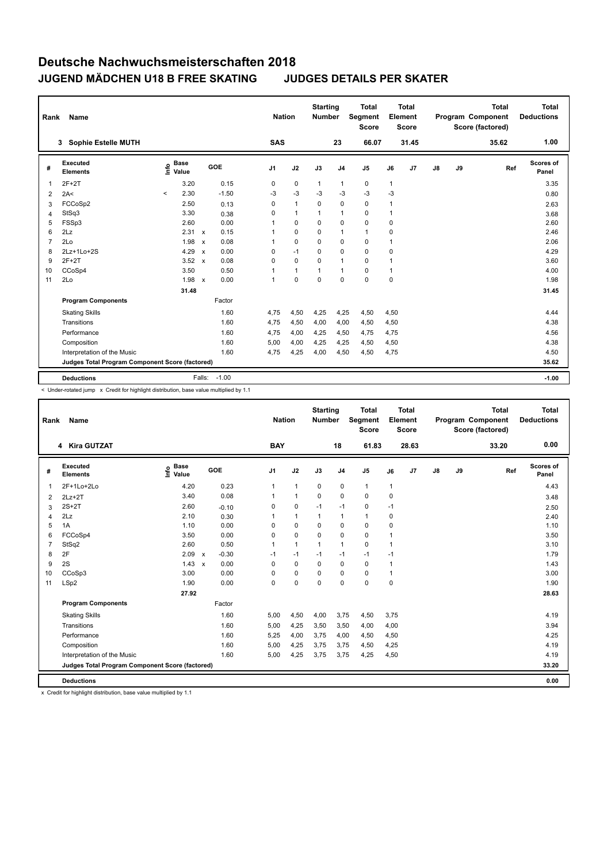| Rank           | Name                                            |                              |                                   | <b>Nation</b>  |              | <b>Starting</b><br><b>Number</b> |                | <b>Total</b><br>Segment<br><b>Score</b> |              | <b>Total</b><br>Element<br><b>Score</b> |               |    | <b>Total</b><br>Program Component<br>Score (factored) | <b>Total</b><br><b>Deductions</b> |
|----------------|-------------------------------------------------|------------------------------|-----------------------------------|----------------|--------------|----------------------------------|----------------|-----------------------------------------|--------------|-----------------------------------------|---------------|----|-------------------------------------------------------|-----------------------------------|
|                | <b>Sophie Estelle MUTH</b><br>3                 |                              |                                   | <b>SAS</b>     |              |                                  | 23             | 66.07                                   |              | 31.45                                   |               |    | 35.62                                                 | 1.00                              |
| #              | Executed<br><b>Elements</b>                     | <b>Base</b><br>Info<br>Value | GOE                               | J <sub>1</sub> | J2           | J3                               | J <sub>4</sub> | J <sub>5</sub>                          | J6           | J7                                      | $\mathsf{J}8$ | J9 | Ref                                                   | <b>Scores of</b><br>Panel         |
| -1             | $2F+2T$                                         | 3.20                         | 0.15                              | 0              | $\mathbf 0$  | $\mathbf{1}$                     | 1              | 0                                       | $\mathbf{1}$ |                                         |               |    |                                                       | 3.35                              |
| $\overline{2}$ | 2A<                                             | 2.30<br>$\prec$              | $-1.50$                           | -3             | $-3$         | -3                               | $-3$           | $-3$                                    | $-3$         |                                         |               |    |                                                       | 0.80                              |
| 3              | FCCoSp2                                         | 2.50                         | 0.13                              | 0              | $\mathbf{1}$ | $\mathbf 0$                      | $\pmb{0}$      | $\mathbf 0$                             | 1            |                                         |               |    |                                                       | 2.63                              |
| 4              | StSq3                                           | 3.30                         | 0.38                              | 0              | $\mathbf{1}$ | 1                                | $\mathbf{1}$   | $\mathbf 0$                             | 1            |                                         |               |    |                                                       | 3.68                              |
| 5              | FSSp3                                           | 2.60                         | 0.00                              | 1              | $\mathbf 0$  | $\Omega$                         | $\mathbf 0$    | $\mathbf 0$                             | 0            |                                         |               |    |                                                       | 2.60                              |
| 6              | 2Lz                                             | 2.31 x                       | 0.15                              |                | 0            | 0                                | $\mathbf{1}$   | 1                                       | 0            |                                         |               |    |                                                       | 2.46                              |
| 7              | 2Lo                                             | 1.98                         | 0.08<br>$\mathsf{x}$              | 1              | $\mathbf 0$  | 0                                | $\mathbf 0$    | $\mathbf 0$                             | 1            |                                         |               |    |                                                       | 2.06                              |
| 8              | 2Lz+1Lo+2S                                      | 4.29                         | 0.00<br>$\boldsymbol{\mathsf{x}}$ | 0              | $-1$         | $\Omega$                         | $\mathbf 0$    | $\mathbf 0$                             | 0            |                                         |               |    |                                                       | 4.29                              |
| 9              | $2F+2T$                                         | 3.52                         | 0.08<br>$\mathsf{x}$              | 0              | $\mathbf 0$  | $\Omega$                         | $\mathbf{1}$   | $\mathbf 0$                             | 1            |                                         |               |    |                                                       | 3.60                              |
| 10             | CCoSp4                                          | 3.50                         | 0.50                              | 1              | $\mathbf{1}$ | 1                                | $\mathbf{1}$   | $\mathbf 0$                             | 1            |                                         |               |    |                                                       | 4.00                              |
| 11             | 2Lo                                             | 1.98                         | 0.00<br>$\mathsf{x}$              | 1              | $\pmb{0}$    | $\mathbf 0$                      | $\mathbf 0$    | $\mathbf 0$                             | 0            |                                         |               |    |                                                       | 1.98                              |
|                |                                                 | 31.48                        |                                   |                |              |                                  |                |                                         |              |                                         |               |    |                                                       | 31.45                             |
|                | <b>Program Components</b>                       |                              | Factor                            |                |              |                                  |                |                                         |              |                                         |               |    |                                                       |                                   |
|                | <b>Skating Skills</b>                           |                              | 1.60                              | 4,75           | 4,50         | 4,25                             | 4,25           | 4,50                                    | 4,50         |                                         |               |    |                                                       | 4.44                              |
|                | Transitions                                     |                              | 1.60                              | 4,75           | 4,50         | 4,00                             | 4,00           | 4,50                                    | 4,50         |                                         |               |    |                                                       | 4.38                              |
|                | Performance                                     |                              | 1.60                              | 4,75           | 4,00         | 4,25                             | 4,50           | 4,75                                    | 4,75         |                                         |               |    |                                                       | 4.56                              |
|                | Composition                                     |                              | 1.60                              | 5,00           | 4,00         | 4,25                             | 4,25           | 4,50                                    | 4,50         |                                         |               |    |                                                       | 4.38                              |
|                | Interpretation of the Music                     |                              | 1.60                              | 4,75           | 4,25         | 4,00                             | 4,50           | 4,50                                    | 4,75         |                                         |               |    |                                                       | 4.50                              |
|                | Judges Total Program Component Score (factored) |                              |                                   |                |              |                                  |                |                                         |              |                                         |               |    |                                                       | 35.62                             |
|                | <b>Deductions</b>                               |                              | $-1.00$<br>Falls:                 |                |              |                                  |                |                                         |              |                                         |               |    |                                                       | $-1.00$                           |

< Under-rotated jump x Credit for highlight distribution, base value multiplied by 1.1

| Rank           | <b>Name</b>                                     |                                    |                                      | <b>Nation</b>  |              | <b>Starting</b><br><b>Number</b> |                | <b>Total</b><br>Segment<br><b>Score</b> |             | <b>Total</b><br>Element<br><b>Score</b> |               |    | <b>Total</b><br>Program Component<br>Score (factored) | <b>Total</b><br><b>Deductions</b> |
|----------------|-------------------------------------------------|------------------------------------|--------------------------------------|----------------|--------------|----------------------------------|----------------|-----------------------------------------|-------------|-----------------------------------------|---------------|----|-------------------------------------------------------|-----------------------------------|
|                | 4 Kira GUTZAT                                   |                                    |                                      | <b>BAY</b>     |              |                                  | 18             | 61.83                                   |             | 28.63                                   |               |    | 33.20                                                 | 0.00                              |
| #              | <b>Executed</b><br><b>Elements</b>              | <b>Base</b><br>$\frac{6}{5}$ Value | GOE                                  | J <sub>1</sub> | J2           | J3                               | J <sub>4</sub> | J5                                      | J6          | J <sub>7</sub>                          | $\mathsf{J}8$ | J9 | Ref                                                   | Scores of<br>Panel                |
| $\mathbf 1$    | 2F+1Lo+2Lo                                      | 4.20                               | 0.23                                 | 1              | $\mathbf{1}$ | $\mathbf 0$                      | $\pmb{0}$      | $\mathbf{1}$                            | 1           |                                         |               |    |                                                       | 4.43                              |
| 2              | $2Lz+2T$                                        | 3.40                               | 0.08                                 |                | $\mathbf{1}$ | $\mathbf 0$                      | $\mathbf 0$    | $\mathbf 0$                             | 0           |                                         |               |    |                                                       | 3.48                              |
| 3              | $2S+2T$                                         | 2.60                               | $-0.10$                              | 0              | 0            | $-1$                             | $-1$           | 0                                       | $-1$        |                                         |               |    |                                                       | 2.50                              |
| 4              | 2Lz                                             | 2.10                               | 0.30                                 |                | $\mathbf{1}$ | 1                                | 1              | 1                                       | 0           |                                         |               |    |                                                       | 2.40                              |
| 5              | 1A                                              | 1.10                               | 0.00                                 | 0              | $\mathbf 0$  | $\Omega$                         | $\mathbf 0$    | $\mathbf 0$                             | 0           |                                         |               |    |                                                       | 1.10                              |
| 6              | FCCoSp4                                         | 3.50                               | 0.00                                 | 0              | $\mathbf 0$  | 0                                | 0              | 0                                       | 1           |                                         |               |    |                                                       | 3.50                              |
| $\overline{7}$ | StSq2                                           | 2.60                               | 0.50                                 |                | $\mathbf{1}$ | $\mathbf{1}$                     | $\mathbf{1}$   | $\mathbf 0$                             | 1           |                                         |               |    |                                                       | 3.10                              |
| 8              | 2F                                              | 2.09                               | $-0.30$<br>$\boldsymbol{\mathsf{x}}$ | $-1$           | $-1$         | $-1$                             | $-1$           | $-1$                                    | $-1$        |                                         |               |    |                                                       | 1.79                              |
| 9              | 2S                                              | 1.43                               | 0.00<br>$\boldsymbol{\mathsf{x}}$    | 0              | 0            | 0                                | 0              | 0                                       | 1           |                                         |               |    |                                                       | 1.43                              |
| 10             | CCoSp3                                          | 3.00                               | 0.00                                 | 0              | $\mathbf 0$  | 0                                | $\mathbf 0$    | $\mathbf 0$                             | 1           |                                         |               |    |                                                       | 3.00                              |
| 11             | LSp2                                            | 1.90                               | 0.00                                 | 0              | $\mathbf 0$  | $\Omega$                         | $\mathbf 0$    | $\mathbf 0$                             | $\mathbf 0$ |                                         |               |    |                                                       | 1.90                              |
|                |                                                 | 27.92                              |                                      |                |              |                                  |                |                                         |             |                                         |               |    |                                                       | 28.63                             |
|                | <b>Program Components</b>                       |                                    | Factor                               |                |              |                                  |                |                                         |             |                                         |               |    |                                                       |                                   |
|                | <b>Skating Skills</b>                           |                                    | 1.60                                 | 5,00           | 4,50         | 4,00                             | 3,75           | 4,50                                    | 3,75        |                                         |               |    |                                                       | 4.19                              |
|                | Transitions                                     |                                    | 1.60                                 | 5,00           | 4,25         | 3,50                             | 3,50           | 4,00                                    | 4,00        |                                         |               |    |                                                       | 3.94                              |
|                | Performance                                     |                                    | 1.60                                 | 5,25           | 4,00         | 3,75                             | 4,00           | 4,50                                    | 4,50        |                                         |               |    |                                                       | 4.25                              |
|                | Composition                                     |                                    | 1.60                                 | 5,00           | 4,25         | 3,75                             | 3,75           | 4,50                                    | 4,25        |                                         |               |    |                                                       | 4.19                              |
|                | Interpretation of the Music                     |                                    | 1.60                                 | 5,00           | 4,25         | 3,75                             | 3,75           | 4,25                                    | 4,50        |                                         |               |    |                                                       | 4.19                              |
|                | Judges Total Program Component Score (factored) |                                    |                                      |                |              |                                  |                |                                         |             |                                         |               |    |                                                       | 33.20                             |
|                | <b>Deductions</b>                               |                                    |                                      |                |              |                                  |                |                                         |             |                                         |               |    |                                                       | 0.00                              |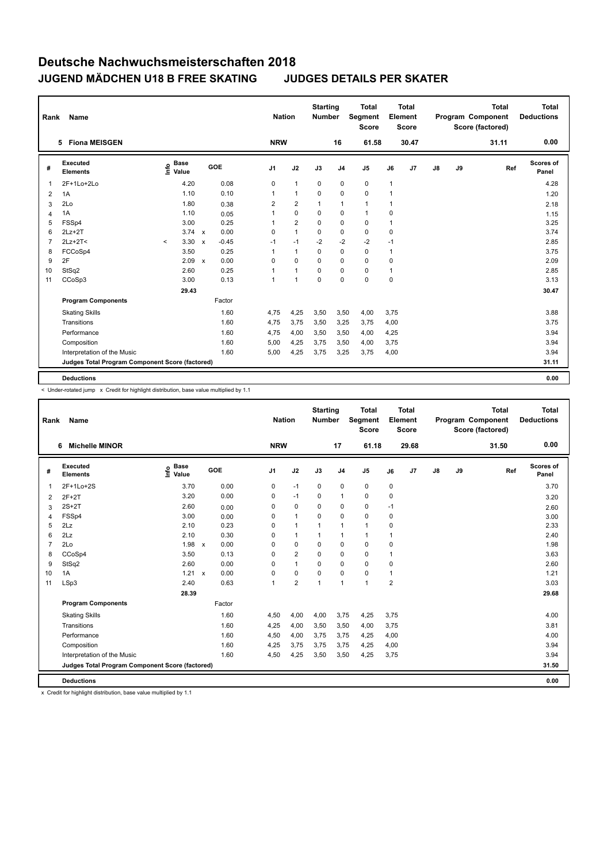| Rank           | Name                                            |                            |                                      | <b>Nation</b>  |                | <b>Starting</b><br><b>Number</b> |                | <b>Total</b><br>Segment<br><b>Score</b> |      | <b>Total</b><br>Element<br><b>Score</b> |               |    | <b>Total</b><br>Program Component<br>Score (factored) | <b>Total</b><br><b>Deductions</b> |
|----------------|-------------------------------------------------|----------------------------|--------------------------------------|----------------|----------------|----------------------------------|----------------|-----------------------------------------|------|-----------------------------------------|---------------|----|-------------------------------------------------------|-----------------------------------|
|                | <b>Fiona MEISGEN</b><br>5.                      |                            |                                      | <b>NRW</b>     |                |                                  | 16             | 61.58                                   |      | 30.47                                   |               |    | 31.11                                                 | 0.00                              |
| #              | Executed<br><b>Elements</b>                     | <b>Base</b><br>۴٥<br>Value | GOE                                  | J <sub>1</sub> | J2             | J3                               | J <sub>4</sub> | J <sub>5</sub>                          | J6   | J <sub>7</sub>                          | $\mathsf{J}8$ | J9 | Ref                                                   | <b>Scores of</b><br>Panel         |
| 1              | 2F+1Lo+2Lo                                      | 4.20                       | 0.08                                 | 0              | $\mathbf{1}$   | 0                                | $\mathbf 0$    | $\mathbf 0$                             | 1    |                                         |               |    |                                                       | 4.28                              |
| 2              | 1A                                              | 1.10                       | 0.10                                 | 1              | $\overline{1}$ | 0                                | $\mathbf 0$    | $\mathbf 0$                             | 1    |                                         |               |    |                                                       | 1.20                              |
| 3              | 2Lo                                             | 1.80                       | 0.38                                 | $\overline{2}$ | $\overline{2}$ | 1                                | $\mathbf{1}$   | $\mathbf{1}$                            | 1    |                                         |               |    |                                                       | 2.18                              |
| 4              | 1A                                              | 1.10                       | 0.05                                 | 1              | $\mathbf 0$    | $\mathbf 0$                      | $\mathbf 0$    | $\mathbf{1}$                            | 0    |                                         |               |    |                                                       | 1.15                              |
| 5              | FSSp4                                           | 3.00                       | 0.25                                 | 1              | $\overline{2}$ | 0                                | 0              | 0                                       | 1    |                                         |               |    |                                                       | 3.25                              |
| 6              | $2Lz+2T$                                        | $3.74 \times$              | 0.00                                 | 0              | $\overline{1}$ | 0                                | 0              | 0                                       | 0    |                                         |               |    |                                                       | 3.74                              |
| $\overline{7}$ | $2Lz+2T<$                                       | 3.30<br>$\prec$            | $-0.45$<br>$\boldsymbol{\mathsf{x}}$ | $-1$           | $-1$           | $-2$                             | $-2$           | $-2$                                    | $-1$ |                                         |               |    |                                                       | 2.85                              |
| 8              | FCCoSp4                                         | 3.50                       | 0.25                                 | $\overline{1}$ | $\overline{1}$ | 0                                | $\pmb{0}$      | $\mathbf 0$                             | 1    |                                         |               |    |                                                       | 3.75                              |
| 9              | 2F                                              | 2.09                       | 0.00<br>$\boldsymbol{\mathsf{x}}$    | 0              | 0              | 0                                | 0              | 0                                       | 0    |                                         |               |    |                                                       | 2.09                              |
| 10             | StSq2                                           | 2.60                       | 0.25                                 | 1              | $\overline{1}$ | $\Omega$                         | $\mathbf 0$    | 0                                       | 1    |                                         |               |    |                                                       | 2.85                              |
| 11             | CCoSp3                                          | 3.00                       | 0.13                                 | $\overline{1}$ | $\overline{1}$ | $\mathbf 0$                      | $\mathbf 0$    | $\mathbf 0$                             | 0    |                                         |               |    |                                                       | 3.13                              |
|                |                                                 | 29.43                      |                                      |                |                |                                  |                |                                         |      |                                         |               |    |                                                       | 30.47                             |
|                | <b>Program Components</b>                       |                            | Factor                               |                |                |                                  |                |                                         |      |                                         |               |    |                                                       |                                   |
|                | <b>Skating Skills</b>                           |                            | 1.60                                 | 4.75           | 4,25           | 3,50                             | 3,50           | 4,00                                    | 3,75 |                                         |               |    |                                                       | 3.88                              |
|                | Transitions                                     |                            | 1.60                                 | 4,75           | 3,75           | 3,50                             | 3,25           | 3,75                                    | 4,00 |                                         |               |    |                                                       | 3.75                              |
|                | Performance                                     |                            | 1.60                                 | 4,75           | 4,00           | 3,50                             | 3,50           | 4,00                                    | 4,25 |                                         |               |    |                                                       | 3.94                              |
|                | Composition                                     |                            | 1.60                                 | 5,00           | 4,25           | 3,75                             | 3,50           | 4,00                                    | 3,75 |                                         |               |    |                                                       | 3.94                              |
|                | Interpretation of the Music                     |                            | 1.60                                 | 5,00           | 4,25           | 3,75                             | 3,25           | 3,75                                    | 4,00 |                                         |               |    |                                                       | 3.94                              |
|                | Judges Total Program Component Score (factored) |                            |                                      |                |                |                                  |                |                                         |      |                                         |               |    |                                                       | 31.11                             |
|                | <b>Deductions</b>                               |                            |                                      |                |                |                                  |                |                                         |      |                                         |               |    |                                                       | 0.00                              |

-<br>< Under-rotated jump x Credit for highlight distribution, base value multiplied by 1.1

| Rank           | Name                                            |                              |                      | <b>Nation</b>  |                | <b>Starting</b><br><b>Number</b> |                | <b>Total</b><br>Segment<br><b>Score</b> |                | Total<br>Element<br><b>Score</b> |    |    | <b>Total</b><br>Program Component<br>Score (factored) | <b>Total</b><br><b>Deductions</b> |
|----------------|-------------------------------------------------|------------------------------|----------------------|----------------|----------------|----------------------------------|----------------|-----------------------------------------|----------------|----------------------------------|----|----|-------------------------------------------------------|-----------------------------------|
|                | <b>Michelle MINOR</b><br>6                      |                              |                      | <b>NRW</b>     |                |                                  | 17             | 61.18                                   |                | 29.68                            |    |    | 31.50                                                 | 0.00                              |
| #              | Executed<br><b>Elements</b>                     | <b>Base</b><br>lnfo<br>Value | GOE                  | J <sub>1</sub> | J2             | J3                               | J <sub>4</sub> | J5                                      | J6             | J7                               | J8 | J9 | Ref                                                   | Scores of<br>Panel                |
| $\mathbf{1}$   | 2F+1Lo+2S                                       | 3.70                         | 0.00                 | 0              | $-1$           | 0                                | $\mathbf 0$    | 0                                       | 0              |                                  |    |    |                                                       | 3.70                              |
| 2              | $2F+2T$                                         | 3.20                         | 0.00                 | 0              | $-1$           | $\mathbf 0$                      | 1              | 0                                       | 0              |                                  |    |    |                                                       | 3.20                              |
| 3              | $2S+2T$                                         | 2.60                         | 0.00                 | 0              | 0              | $\Omega$                         | $\mathbf 0$    | 0                                       | $-1$           |                                  |    |    |                                                       | 2.60                              |
| 4              | FSSp4                                           | 3.00                         | 0.00                 | 0              | $\mathbf{1}$   | 0                                | $\mathbf 0$    | 0                                       | 0              |                                  |    |    |                                                       | 3.00                              |
| 5              | 2Lz                                             | 2.10                         | 0.23                 | $\Omega$       | $\mathbf{1}$   | $\mathbf{1}$                     | 1              | $\mathbf{1}$                            | 0              |                                  |    |    |                                                       | 2.33                              |
| 6              | 2Lz                                             | 2.10                         | 0.30                 | 0              | $\mathbf{1}$   | 1                                | 1              | $\mathbf{1}$                            | $\overline{1}$ |                                  |    |    |                                                       | 2.40                              |
| $\overline{7}$ | 2Lo                                             | 1.98                         | 0.00<br>$\mathsf{x}$ | 0              | 0              | 0                                | $\mathbf 0$    | 0                                       | 0              |                                  |    |    |                                                       | 1.98                              |
| 8              | CCoSp4                                          | 3.50                         | 0.13                 | 0              | $\overline{2}$ | 0                                | $\mathbf 0$    | 0                                       | 1              |                                  |    |    |                                                       | 3.63                              |
| 9              | StSq2                                           | 2.60                         | 0.00                 | 0              | $\mathbf{1}$   | 0                                | $\mathbf 0$    | 0                                       | 0              |                                  |    |    |                                                       | 2.60                              |
| 10             | 1A                                              | 1.21                         | 0.00<br>$\mathsf{x}$ | 0              | 0              | 0                                | $\mathbf 0$    | 0                                       | $\mathbf{1}$   |                                  |    |    |                                                       | 1.21                              |
| 11             | LSp3                                            | 2.40                         | 0.63                 | 1              | $\overline{2}$ | $\mathbf 1$                      | 1              | $\mathbf{1}$                            | $\overline{2}$ |                                  |    |    |                                                       | 3.03                              |
|                |                                                 | 28.39                        |                      |                |                |                                  |                |                                         |                |                                  |    |    |                                                       | 29.68                             |
|                | <b>Program Components</b>                       |                              | Factor               |                |                |                                  |                |                                         |                |                                  |    |    |                                                       |                                   |
|                | <b>Skating Skills</b>                           |                              | 1.60                 | 4,50           | 4,00           | 4,00                             | 3,75           | 4,25                                    | 3,75           |                                  |    |    |                                                       | 4.00                              |
|                | Transitions                                     |                              | 1.60                 | 4,25           | 4,00           | 3,50                             | 3,50           | 4,00                                    | 3,75           |                                  |    |    |                                                       | 3.81                              |
|                | Performance                                     |                              | 1.60                 | 4,50           | 4,00           | 3,75                             | 3,75           | 4,25                                    | 4,00           |                                  |    |    |                                                       | 4.00                              |
|                | Composition                                     |                              | 1.60                 | 4,25           | 3,75           | 3,75                             | 3,75           | 4,25                                    | 4,00           |                                  |    |    |                                                       | 3.94                              |
|                | Interpretation of the Music                     |                              | 1.60                 | 4,50           | 4,25           | 3,50                             | 3,50           | 4,25                                    | 3,75           |                                  |    |    |                                                       | 3.94                              |
|                | Judges Total Program Component Score (factored) |                              |                      |                |                |                                  |                |                                         |                |                                  |    |    |                                                       | 31.50                             |
|                | <b>Deductions</b>                               |                              |                      |                |                |                                  |                |                                         |                |                                  |    |    |                                                       | 0.00                              |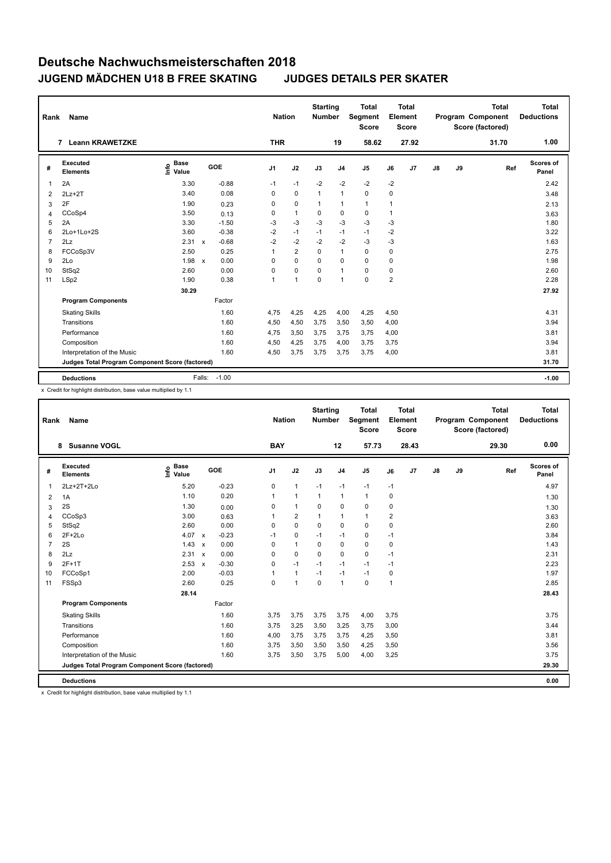| Rank           | Name                                            |                                  |              |         |                | <b>Nation</b>  | <b>Starting</b><br><b>Number</b> |                | <b>Total</b><br><b>Segment</b><br>Score |          | <b>Total</b><br>Element<br><b>Score</b> |    |    | <b>Total</b><br>Program Component<br>Score (factored) | <b>Total</b><br><b>Deductions</b> |
|----------------|-------------------------------------------------|----------------------------------|--------------|---------|----------------|----------------|----------------------------------|----------------|-----------------------------------------|----------|-----------------------------------------|----|----|-------------------------------------------------------|-----------------------------------|
|                | <b>Leann KRAWETZKE</b><br>$\overline{7}$        |                                  |              |         | <b>THR</b>     |                |                                  | 19             | 58.62                                   |          | 27.92                                   |    |    | 31.70                                                 | 1.00                              |
| #              | Executed<br><b>Elements</b>                     | <b>Base</b><br>o Base<br>⊆ Value | GOE          |         | J <sub>1</sub> | J2             | J3                               | J <sub>4</sub> | J <sub>5</sub>                          | J6       | J7                                      | J8 | J9 | Ref                                                   | <b>Scores of</b><br>Panel         |
| -1             | 2A                                              | 3.30                             |              | $-0.88$ | $-1$           | $-1$           | $-2$                             | $-2$           | $-2$                                    | $-2$     |                                         |    |    |                                                       | 2.42                              |
| $\overline{2}$ | $2Lz+2T$                                        | 3.40                             |              | 0.08    | 0              | $\mathbf 0$    | $\mathbf{1}$                     | $\mathbf{1}$   | $\mathbf 0$                             | 0        |                                         |    |    |                                                       | 3.48                              |
| 3              | 2F                                              | 1.90                             |              | 0.23    | 0              | $\mathbf 0$    | $\mathbf{1}$                     | 1              | 1                                       | 1        |                                         |    |    |                                                       | 2.13                              |
| 4              | CCoSp4                                          | 3.50                             |              | 0.13    | 0              | $\mathbf{1}$   | 0                                | $\mathbf 0$    | $\mathbf 0$                             | 1        |                                         |    |    |                                                       | 3.63                              |
| 5              | 2A                                              | 3.30                             |              | $-1.50$ | $-3$           | $-3$           | $-3$                             | $-3$           | $-3$                                    | $-3$     |                                         |    |    |                                                       | 1.80                              |
| 6              | 2Lo+1Lo+2S                                      | 3.60                             |              | $-0.38$ | $-2$           | $-1$           | $-1$                             | $-1$           | $-1$                                    | $-2$     |                                         |    |    |                                                       | 3.22                              |
| 7              | 2Lz                                             | 2.31                             | $\mathsf{x}$ | $-0.68$ | $-2$           | $-2$           | $-2$                             | $-2$           | $-3$                                    | $-3$     |                                         |    |    |                                                       | 1.63                              |
| 8              | FCCoSp3V                                        | 2.50                             |              | 0.25    | 1              | $\overline{2}$ | $\mathbf 0$                      | $\mathbf{1}$   | $\mathbf 0$                             | 0        |                                         |    |    |                                                       | 2.75                              |
| 9              | 2Lo                                             | 1.98                             | $\mathsf{x}$ | 0.00    | 0              | $\mathbf 0$    | $\Omega$                         | 0              | $\mathbf 0$                             | 0        |                                         |    |    |                                                       | 1.98                              |
| 10             | StSq2                                           | 2.60                             |              | 0.00    | 0              | $\mathbf 0$    | $\Omega$                         | $\mathbf{1}$   | $\mathbf 0$                             | $\Omega$ |                                         |    |    |                                                       | 2.60                              |
| 11             | LSp2                                            | 1.90                             |              | 0.38    | 1              | $\overline{1}$ | $\mathbf 0$                      | $\mathbf{1}$   | $\mathbf 0$                             | 2        |                                         |    |    |                                                       | 2.28                              |
|                |                                                 | 30.29                            |              |         |                |                |                                  |                |                                         |          |                                         |    |    |                                                       | 27.92                             |
|                | <b>Program Components</b>                       |                                  |              | Factor  |                |                |                                  |                |                                         |          |                                         |    |    |                                                       |                                   |
|                | <b>Skating Skills</b>                           |                                  |              | 1.60    | 4,75           | 4,25           | 4,25                             | 4,00           | 4,25                                    | 4,50     |                                         |    |    |                                                       | 4.31                              |
|                | Transitions                                     |                                  |              | 1.60    | 4,50           | 4,50           | 3,75                             | 3,50           | 3,50                                    | 4,00     |                                         |    |    |                                                       | 3.94                              |
|                | Performance                                     |                                  |              | 1.60    | 4,75           | 3,50           | 3,75                             | 3,75           | 3,75                                    | 4,00     |                                         |    |    |                                                       | 3.81                              |
|                | Composition                                     |                                  |              | 1.60    | 4,50           | 4,25           | 3,75                             | 4,00           | 3,75                                    | 3,75     |                                         |    |    |                                                       | 3.94                              |
|                | Interpretation of the Music                     |                                  |              | 1.60    | 4,50           | 3,75           | 3,75                             | 3,75           | 3,75                                    | 4,00     |                                         |    |    |                                                       | 3.81                              |
|                | Judges Total Program Component Score (factored) |                                  |              |         |                |                |                                  |                |                                         |          |                                         |    |    |                                                       | 31.70                             |
|                | <b>Deductions</b>                               |                                  | Falls:       | $-1.00$ |                |                |                                  |                |                                         |          |                                         |    |    |                                                       | $-1.00$                           |

x Credit for highlight distribution, base value multiplied by 1.1

| Rank | Name                                            |                                           |         | <b>Nation</b>  |                      | <b>Starting</b><br><b>Number</b> |                | <b>Total</b><br>Segment<br><b>Score</b> |      | <b>Total</b><br>Element<br><b>Score</b> |    |    | <b>Total</b><br>Program Component<br>Score (factored) | <b>Total</b><br><b>Deductions</b> |
|------|-------------------------------------------------|-------------------------------------------|---------|----------------|----------------------|----------------------------------|----------------|-----------------------------------------|------|-----------------------------------------|----|----|-------------------------------------------------------|-----------------------------------|
|      | 8 Susanne VOGL                                  |                                           |         | <b>BAY</b>     |                      |                                  | 12             | 57.73                                   |      | 28.43                                   |    |    | 29.30                                                 | 0.00                              |
| #    | Executed<br><b>Elements</b>                     | $\frac{e}{E}$ Base<br>$\frac{e}{E}$ Value | GOE     | J <sub>1</sub> | J2                   | J3                               | J <sub>4</sub> | $\mathsf{J}5$                           | J6   | J7                                      | J8 | J9 | Ref                                                   | <b>Scores of</b><br>Panel         |
| 1    | 2Lz+2T+2Lo                                      | 5.20                                      | $-0.23$ | 0              | $\mathbf{1}$         | $-1$                             | $-1$           | $-1$                                    | $-1$ |                                         |    |    |                                                       | 4.97                              |
| 2    | 1A                                              | 1.10                                      | 0.20    | 1              | $\mathbf{1}$         | $\mathbf{1}$                     | $\mathbf{1}$   | $\mathbf{1}$                            | 0    |                                         |    |    |                                                       | 1.30                              |
| 3    | 2S                                              | 1.30                                      | 0.00    | $\Omega$       | $\mathbf{1}$         | $\Omega$                         | 0              | 0                                       | 0    |                                         |    |    |                                                       | 1.30                              |
| 4    | CCoSp3                                          | 3.00                                      | 0.63    | 1              | $\overline{2}$       | 1                                | $\mathbf{1}$   | 1                                       | 2    |                                         |    |    |                                                       | 3.63                              |
| 5    | StSq2                                           | 2.60                                      | 0.00    | $\Omega$       | $\Omega$             | $\Omega$                         | 0              | $\Omega$                                | 0    |                                         |    |    |                                                       | 2.60                              |
| 6    | $2F+2Lo$                                        | 4.07 x                                    | $-0.23$ | $-1$           | $\mathbf 0$          | $-1$                             | $-1$           | 0                                       | $-1$ |                                         |    |    |                                                       | 3.84                              |
| 7    | 2S                                              | $1.43 \times$                             | 0.00    | $\Omega$       | $\mathbf{1}$         | 0                                | 0              | 0                                       | 0    |                                         |    |    |                                                       | 1.43                              |
| 8    | 2Lz                                             | 2.31 x                                    | 0.00    | 0              | $\mathbf 0$          | $\Omega$                         | 0              | 0                                       | $-1$ |                                         |    |    |                                                       | 2.31                              |
| 9    | $2F+1T$                                         | 2.53 x                                    | $-0.30$ | $\Omega$       | $-1$                 | $-1$                             | $-1$           | $-1$                                    | $-1$ |                                         |    |    |                                                       | 2.23                              |
| 10   | FCCoSp1                                         | 2.00                                      | $-0.03$ |                | $\mathbf{1}$         | $-1$                             | $-1$           | $-1$                                    | 0    |                                         |    |    |                                                       | 1.97                              |
| 11   | FSSp3                                           | 2.60                                      | 0.25    | 0              | $\blacktriangleleft$ | $\Omega$                         | $\mathbf{1}$   | 0                                       | 1    |                                         |    |    |                                                       | 2.85                              |
|      |                                                 | 28.14                                     |         |                |                      |                                  |                |                                         |      |                                         |    |    |                                                       | 28.43                             |
|      | <b>Program Components</b>                       |                                           | Factor  |                |                      |                                  |                |                                         |      |                                         |    |    |                                                       |                                   |
|      | <b>Skating Skills</b>                           |                                           | 1.60    | 3,75           | 3,75                 | 3,75                             | 3,75           | 4,00                                    | 3,75 |                                         |    |    |                                                       | 3.75                              |
|      | Transitions                                     |                                           | 1.60    | 3,75           | 3,25                 | 3,50                             | 3,25           | 3,75                                    | 3,00 |                                         |    |    |                                                       | 3.44                              |
|      | Performance                                     |                                           | 1.60    | 4,00           | 3,75                 | 3,75                             | 3,75           | 4,25                                    | 3,50 |                                         |    |    |                                                       | 3.81                              |
|      | Composition                                     |                                           | 1.60    | 3,75           | 3,50                 | 3,50                             | 3,50           | 4,25                                    | 3,50 |                                         |    |    |                                                       | 3.56                              |
|      | Interpretation of the Music                     |                                           | 1.60    | 3,75           | 3,50                 | 3,75                             | 5,00           | 4,00                                    | 3,25 |                                         |    |    |                                                       | 3.75                              |
|      | Judges Total Program Component Score (factored) |                                           |         |                |                      |                                  |                |                                         |      |                                         |    |    |                                                       | 29.30                             |
|      | <b>Deductions</b>                               |                                           |         |                |                      |                                  |                |                                         |      |                                         |    |    |                                                       | 0.00                              |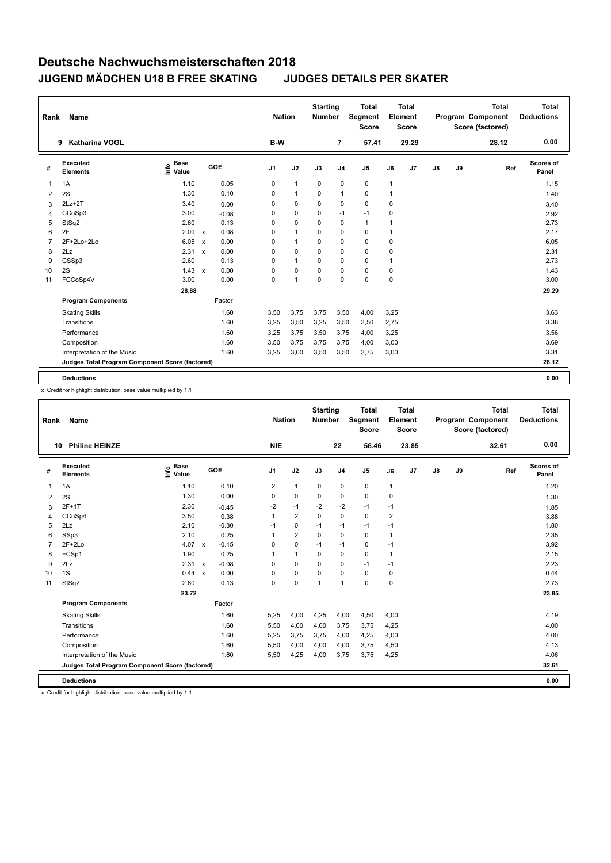| Rank           | Name                                            |                                  |                      | <b>Nation</b>  |              | <b>Starting</b><br><b>Number</b> |                | <b>Total</b><br>Segment<br><b>Score</b> |      | <b>Total</b><br>Element<br><b>Score</b> |               |    | <b>Total</b><br>Program Component<br>Score (factored) | <b>Total</b><br><b>Deductions</b> |
|----------------|-------------------------------------------------|----------------------------------|----------------------|----------------|--------------|----------------------------------|----------------|-----------------------------------------|------|-----------------------------------------|---------------|----|-------------------------------------------------------|-----------------------------------|
|                | <b>Katharina VOGL</b><br>9                      |                                  |                      | B-W            |              |                                  | 7              | 57.41                                   |      | 29.29                                   |               |    | 28.12                                                 | 0.00                              |
| #              | Executed<br><b>Elements</b>                     | <b>Base</b><br>o Base<br>⊆ Value | GOE                  | J <sub>1</sub> | J2           | J3                               | J <sub>4</sub> | J5                                      | J6   | J <sub>7</sub>                          | $\mathsf{J}8$ | J9 | Ref                                                   | <b>Scores of</b><br>Panel         |
| 1              | 1A                                              | 1.10                             | 0.05                 | 0              | $\mathbf{1}$ | 0                                | $\mathbf 0$    | $\mathbf 0$                             | 1    |                                         |               |    |                                                       | 1.15                              |
| $\overline{2}$ | 2S                                              | 1.30                             | 0.10                 | 0              | $\mathbf{1}$ | 0                                | $\overline{1}$ | 0                                       | 1    |                                         |               |    |                                                       | 1.40                              |
| 3              | $2Lz + 2T$                                      | 3.40                             | 0.00                 | 0              | 0            | 0                                | $\pmb{0}$      | $\mathbf 0$                             | 0    |                                         |               |    |                                                       | 3.40                              |
| 4              | CCoSp3                                          | 3.00                             | $-0.08$              | 0              | $\mathbf 0$  | 0                                | $-1$           | $-1$                                    | 0    |                                         |               |    |                                                       | 2.92                              |
| 5              | StSq2                                           | 2.60                             | 0.13                 | 0              | 0            | 0                                | 0              | $\mathbf{1}$                            | 1    |                                         |               |    |                                                       | 2.73                              |
| 6              | 2F                                              | 2.09                             | 0.08<br>$\mathsf{x}$ | 0              | $\mathbf{1}$ | 0                                | 0              | $\mathbf 0$                             | 1    |                                         |               |    |                                                       | 2.17                              |
| 7              | 2F+2Lo+2Lo                                      | 6.05                             | 0.00<br>$\mathsf{x}$ | 0              | $\mathbf{1}$ | 0                                | $\mathbf 0$    | $\mathbf 0$                             | 0    |                                         |               |    |                                                       | 6.05                              |
| 8              | 2Lz                                             | 2.31                             | 0.00<br>$\mathsf{x}$ | 0              | 0            | 0                                | 0              | $\mathbf 0$                             | 0    |                                         |               |    |                                                       | 2.31                              |
| 9              | CSSp3                                           | 2.60                             | 0.13                 | 0              | $\mathbf{1}$ | 0                                | 0              | $\mathbf 0$                             | 1    |                                         |               |    |                                                       | 2.73                              |
| 10             | 2S                                              | $1.43 \times$                    | 0.00                 | 0              | $\mathbf 0$  | $\Omega$                         | $\mathbf 0$    | $\mathbf 0$                             | 0    |                                         |               |    |                                                       | 1.43                              |
| 11             | FCCoSp4V                                        | 3.00                             | 0.00                 | 0              | 1            | 0                                | $\mathbf 0$    | $\mathbf 0$                             | 0    |                                         |               |    |                                                       | 3.00                              |
|                |                                                 | 28.88                            |                      |                |              |                                  |                |                                         |      |                                         |               |    |                                                       | 29.29                             |
|                | <b>Program Components</b>                       |                                  | Factor               |                |              |                                  |                |                                         |      |                                         |               |    |                                                       |                                   |
|                | <b>Skating Skills</b>                           |                                  | 1.60                 | 3,50           | 3,75         | 3,75                             | 3,50           | 4,00                                    | 3,25 |                                         |               |    |                                                       | 3.63                              |
|                | Transitions                                     |                                  | 1.60                 | 3,25           | 3,50         | 3,25                             | 3,50           | 3,50                                    | 2,75 |                                         |               |    |                                                       | 3.38                              |
|                | Performance                                     |                                  | 1.60                 | 3,25           | 3,75         | 3,50                             | 3,75           | 4,00                                    | 3,25 |                                         |               |    |                                                       | 3.56                              |
|                | Composition                                     |                                  | 1.60                 | 3,50           | 3,75         | 3,75                             | 3,75           | 4,00                                    | 3,00 |                                         |               |    |                                                       | 3.69                              |
|                | Interpretation of the Music                     |                                  | 1.60                 | 3,25           | 3,00         | 3,50                             | 3,50           | 3,75                                    | 3,00 |                                         |               |    |                                                       | 3.31                              |
|                | Judges Total Program Component Score (factored) |                                  |                      |                |              |                                  |                |                                         |      |                                         |               |    |                                                       | 28.12                             |
|                | <b>Deductions</b>                               |                                  |                      |                |              |                                  |                |                                         |      |                                         |               |    |                                                       | 0.00                              |

x Credit for highlight distribution, base value multiplied by 1.1

| Rank           | Name                                            |                                  |                         | <b>Nation</b>  |                         | <b>Starting</b><br><b>Number</b> |                | <b>Total</b><br>Segment<br><b>Score</b> |                         | Total<br>Element<br><b>Score</b> |               |    | <b>Total</b><br>Program Component<br>Score (factored) | <b>Total</b><br><b>Deductions</b> |
|----------------|-------------------------------------------------|----------------------------------|-------------------------|----------------|-------------------------|----------------------------------|----------------|-----------------------------------------|-------------------------|----------------------------------|---------------|----|-------------------------------------------------------|-----------------------------------|
|                | <b>Philine HEINZE</b><br>10                     |                                  |                         | <b>NIE</b>     |                         |                                  | 22             | 56.46                                   |                         | 23.85                            |               |    | 32.61                                                 | 0.00                              |
| #              | <b>Executed</b><br><b>Elements</b>              | <b>Base</b><br>o Base<br>⊆ Value | GOE                     | J <sub>1</sub> | J2                      | J3                               | J <sub>4</sub> | J5                                      | J6                      | J7                               | $\mathsf{J}8$ | J9 | Ref                                                   | Scores of<br>Panel                |
| 1              | 1A                                              | 1.10                             | 0.10                    | $\overline{2}$ | $\mathbf{1}$            | $\mathbf 0$                      | $\mathbf 0$    | 0                                       | $\mathbf{1}$            |                                  |               |    |                                                       | 1.20                              |
| 2              | 2S                                              | 1.30                             | 0.00                    | 0              | $\pmb{0}$               | 0                                | 0              | 0                                       | $\pmb{0}$               |                                  |               |    |                                                       | 1.30                              |
| 3              | $2F+1T$                                         | 2.30                             | $-0.45$                 | -2             | $-1$                    | $-2$                             | $-2$           | $-1$                                    | $-1$                    |                                  |               |    |                                                       | 1.85                              |
| 4              | CCoSp4                                          | 3.50                             | 0.38                    | 1              | $\overline{2}$          | 0                                | 0              | 0                                       | $\overline{\mathbf{c}}$ |                                  |               |    |                                                       | 3.88                              |
| 5              | 2Lz                                             | 2.10                             | $-0.30$                 | $-1$           | $\mathbf 0$             | $-1$                             | $-1$           | $-1$                                    | $-1$                    |                                  |               |    |                                                       | 1.80                              |
| 6              | SSp3                                            | 2.10                             | 0.25                    | 1              | $\overline{\mathbf{c}}$ | 0                                | 0              | 0                                       | $\mathbf{1}$            |                                  |               |    |                                                       | 2.35                              |
| $\overline{7}$ | $2F+2Lo$                                        | 4.07                             | $-0.15$<br>$\mathsf{x}$ | 0              | $\mathbf 0$             | $-1$                             | $-1$           | 0                                       | $-1$                    |                                  |               |    |                                                       | 3.92                              |
| 8              | FCSp1                                           | 1.90                             | 0.25                    | 1              | $\mathbf{1}$            | $\Omega$                         | 0              | 0                                       | $\mathbf{1}$            |                                  |               |    |                                                       | 2.15                              |
| 9              | 2Lz                                             | 2.31                             | $-0.08$<br>$\mathsf{x}$ | $\Omega$       | 0                       | 0                                | 0              | $-1$                                    | $-1$                    |                                  |               |    |                                                       | 2.23                              |
| 10             | 1S                                              | 0.44                             | 0.00<br>$\mathsf{x}$    | $\Omega$       | 0                       | 0                                | 0              | 0                                       | 0                       |                                  |               |    |                                                       | 0.44                              |
| 11             | StSq2                                           | 2.60                             | 0.13                    | 0              | $\mathbf 0$             | $\mathbf{1}$                     | $\mathbf{1}$   | 0                                       | 0                       |                                  |               |    |                                                       | 2.73                              |
|                |                                                 | 23.72                            |                         |                |                         |                                  |                |                                         |                         |                                  |               |    |                                                       | 23.85                             |
|                | <b>Program Components</b>                       |                                  | Factor                  |                |                         |                                  |                |                                         |                         |                                  |               |    |                                                       |                                   |
|                | <b>Skating Skills</b>                           |                                  | 1.60                    | 5,25           | 4,00                    | 4,25                             | 4,00           | 4,50                                    | 4,00                    |                                  |               |    |                                                       | 4.19                              |
|                | Transitions                                     |                                  | 1.60                    | 5,50           | 4,00                    | 4,00                             | 3,75           | 3,75                                    | 4,25                    |                                  |               |    |                                                       | 4.00                              |
|                | Performance                                     |                                  | 1.60                    | 5,25           | 3,75                    | 3,75                             | 4,00           | 4,25                                    | 4,00                    |                                  |               |    |                                                       | 4.00                              |
|                | Composition                                     |                                  | 1.60                    | 5,50           | 4,00                    | 4,00                             | 4,00           | 3,75                                    | 4,50                    |                                  |               |    |                                                       | 4.13                              |
|                | Interpretation of the Music                     |                                  | 1.60                    | 5,50           | 4,25                    | 4,00                             | 3,75           | 3,75                                    | 4,25                    |                                  |               |    |                                                       | 4.06                              |
|                | Judges Total Program Component Score (factored) |                                  |                         |                |                         |                                  |                |                                         |                         |                                  |               |    |                                                       | 32.61                             |
|                | <b>Deductions</b>                               |                                  |                         |                |                         |                                  |                |                                         |                         |                                  |               |    |                                                       | 0.00                              |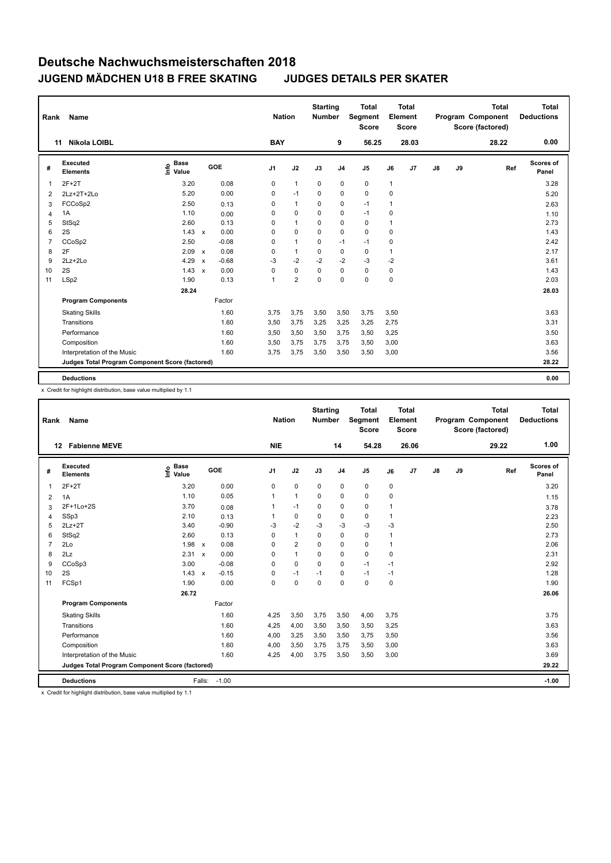| Rank           | Name                                            |                              |                                      | <b>Nation</b>  |                | <b>Starting</b><br><b>Number</b> |                | <b>Total</b><br>Segment<br><b>Score</b> |      | <b>Total</b><br>Element<br><b>Score</b> |               |    | <b>Total</b><br>Program Component<br>Score (factored) | <b>Total</b><br><b>Deductions</b> |
|----------------|-------------------------------------------------|------------------------------|--------------------------------------|----------------|----------------|----------------------------------|----------------|-----------------------------------------|------|-----------------------------------------|---------------|----|-------------------------------------------------------|-----------------------------------|
|                | <b>Nikola LOIBL</b><br>11                       |                              |                                      | <b>BAY</b>     |                |                                  | 9              | 56.25                                   |      | 28.03                                   |               |    | 28.22                                                 | 0.00                              |
| #              | <b>Executed</b><br><b>Elements</b>              | <b>Base</b><br>١nfo<br>Value | <b>GOE</b>                           | J <sub>1</sub> | J2             | J3                               | J <sub>4</sub> | J <sub>5</sub>                          | J6   | J <sub>7</sub>                          | $\mathsf{J}8$ | J9 | Ref                                                   | <b>Scores of</b><br>Panel         |
| 1              | $2F+2T$                                         | 3.20                         | 0.08                                 | 0              | $\mathbf{1}$   | 0                                | 0              | 0                                       | 1    |                                         |               |    |                                                       | 3.28                              |
| $\overline{2}$ | $2Lz+2T+2Lo$                                    | 5.20                         | 0.00                                 | 0              | $-1$           | 0                                | 0              | 0                                       | 0    |                                         |               |    |                                                       | 5.20                              |
| 3              | FCCoSp2                                         | 2.50                         | 0.13                                 | 0              | $\mathbf{1}$   | $\mathbf 0$                      | $\mathbf 0$    | $-1$                                    | 1    |                                         |               |    |                                                       | 2.63                              |
| 4              | 1A                                              | 1.10                         | 0.00                                 | 0              | $\mathbf 0$    | 0                                | 0              | $-1$                                    | 0    |                                         |               |    |                                                       | 1.10                              |
| 5              | StSq2                                           | 2.60                         | 0.13                                 | 0              | $\mathbf{1}$   | 0                                | 0              | 0                                       | 1    |                                         |               |    |                                                       | 2.73                              |
| 6              | 2S                                              | $1.43 \times$                | 0.00                                 | 0              | $\mathbf 0$    | $\mathbf 0$                      | $\mathbf 0$    | $\mathbf 0$                             | 0    |                                         |               |    |                                                       | 1.43                              |
| 7              | CCoSp2                                          | 2.50                         | $-0.08$                              | 0              | $\mathbf{1}$   | 0                                | $-1$           | $-1$                                    | 0    |                                         |               |    |                                                       | 2.42                              |
| 8              | 2F                                              | 2.09                         | 0.08<br>$\mathsf{x}$                 | 0              | $\overline{1}$ | 0                                | $\mathbf 0$    | 0                                       | 1    |                                         |               |    |                                                       | 2.17                              |
| 9              | 2Lz+2Lo                                         | 4.29                         | $-0.68$<br>$\boldsymbol{\mathsf{x}}$ | $-3$           | $-2$           | $-2$                             | $-2$           | $-3$                                    | $-2$ |                                         |               |    |                                                       | 3.61                              |
| 10             | 2S                                              | 1.43                         | 0.00<br>$\mathbf{x}$                 | 0              | 0              | $\Omega$                         | 0              | 0                                       | 0    |                                         |               |    |                                                       | 1.43                              |
| 11             | LSp2                                            | 1.90                         | 0.13                                 | 1              | $\overline{2}$ | $\mathbf 0$                      | $\mathbf 0$    | $\mathbf 0$                             | 0    |                                         |               |    |                                                       | 2.03                              |
|                |                                                 | 28.24                        |                                      |                |                |                                  |                |                                         |      |                                         |               |    |                                                       | 28.03                             |
|                | <b>Program Components</b>                       |                              | Factor                               |                |                |                                  |                |                                         |      |                                         |               |    |                                                       |                                   |
|                | <b>Skating Skills</b>                           |                              | 1.60                                 | 3,75           | 3,75           | 3,50                             | 3,50           | 3,75                                    | 3,50 |                                         |               |    |                                                       | 3.63                              |
|                | Transitions                                     |                              | 1.60                                 | 3,50           | 3,75           | 3,25                             | 3,25           | 3,25                                    | 2,75 |                                         |               |    |                                                       | 3.31                              |
|                | Performance                                     |                              | 1.60                                 | 3,50           | 3,50           | 3,50                             | 3,75           | 3,50                                    | 3,25 |                                         |               |    |                                                       | 3.50                              |
|                | Composition                                     |                              | 1.60                                 | 3,50           | 3,75           | 3,75                             | 3,75           | 3,50                                    | 3,00 |                                         |               |    |                                                       | 3.63                              |
|                | Interpretation of the Music                     |                              | 1.60                                 | 3,75           | 3,75           | 3,50                             | 3,50           | 3,50                                    | 3,00 |                                         |               |    |                                                       | 3.56                              |
|                | Judges Total Program Component Score (factored) |                              |                                      |                |                |                                  |                |                                         |      |                                         |               |    |                                                       | 28.22                             |
|                | <b>Deductions</b>                               |                              |                                      |                |                |                                  |                |                                         |      |                                         |               |    |                                                       | 0.00                              |

x Credit for highlight distribution, base value multiplied by 1.1

| Rank           | Name                                            |                                  |                   |                      | <b>Nation</b>  | <b>Starting</b><br><b>Number</b> |                | <b>Total</b><br>Segment<br><b>Score</b> |                | <b>Total</b><br>Element<br><b>Score</b> |               |    | <b>Total</b><br>Program Component<br>Score (factored) | <b>Total</b><br><b>Deductions</b> |
|----------------|-------------------------------------------------|----------------------------------|-------------------|----------------------|----------------|----------------------------------|----------------|-----------------------------------------|----------------|-----------------------------------------|---------------|----|-------------------------------------------------------|-----------------------------------|
|                | <b>Fabienne MEVE</b><br>12                      |                                  |                   | <b>NIE</b>           |                |                                  | 14             | 54.28                                   |                | 26.06                                   |               |    | 29.22                                                 | 1.00                              |
| #              | <b>Executed</b><br><b>Elements</b>              | <b>Base</b><br>e Base<br>⊆ Value | GOE               | J <sub>1</sub>       | J2             | J3                               | J <sub>4</sub> | J5                                      | J6             | J7                                      | $\mathsf{J}8$ | J9 | Ref                                                   | Scores of<br>Panel                |
| $\mathbf 1$    | $2F+2T$                                         | 3.20                             |                   | 0.00<br>0            | $\pmb{0}$      | 0                                | $\mathbf 0$    | 0                                       | $\pmb{0}$      |                                         |               |    |                                                       | 3.20                              |
| 2              | 1A                                              | 1.10                             |                   | 0.05<br>$\mathbf{1}$ | $\mathbf{1}$   | 0                                | $\mathbf 0$    | 0                                       | 0              |                                         |               |    |                                                       | 1.15                              |
| 3              | 2F+1Lo+2S                                       | 3.70                             |                   | 0.08<br>1            | $-1$           | 0                                | 0              | 0                                       |                |                                         |               |    |                                                       | 3.78                              |
| $\overline{4}$ | SSp3                                            | 2.10                             |                   | 1<br>0.13            | 0              | 0                                | 0              | 0                                       | $\mathbf{1}$   |                                         |               |    |                                                       | 2.23                              |
| 5              | $2Lz + 2T$                                      | 3.40                             |                   | $-0.90$<br>$-3$      | $-2$           | $-3$                             | $-3$           | $-3$                                    | $-3$           |                                         |               |    |                                                       | 2.50                              |
| 6              | StSq2                                           | 2.60                             |                   | 0.13<br>0            | $\mathbf{1}$   | 0                                | 0              | 0                                       | $\overline{1}$ |                                         |               |    |                                                       | 2.73                              |
| $\overline{7}$ | 2Lo                                             | $1.98 \times$                    |                   | 0.08<br>0            | $\overline{2}$ | 0                                | 0              | 0                                       | 1              |                                         |               |    |                                                       | 2.06                              |
| 8              | 2Lz                                             | 2.31                             | $\mathsf{x}$      | 0.00<br>0            | $\mathbf{1}$   | 0                                | 0              | 0                                       | $\mathbf 0$    |                                         |               |    |                                                       | 2.31                              |
| 9              | CCoSp3                                          | 3.00                             |                   | $-0.08$<br>0         | $\mathbf 0$    | $\Omega$                         | 0              | $-1$                                    | $-1$           |                                         |               |    |                                                       | 2.92                              |
| 10             | 2S                                              | 1.43                             | $\mathbf{x}$      | $-0.15$<br>$\Omega$  | $-1$           | $-1$                             | 0              | $-1$                                    | $-1$           |                                         |               |    |                                                       | 1.28                              |
| 11             | FCSp1                                           | 1.90                             |                   | 0.00<br>$\Omega$     | $\mathbf 0$    | $\Omega$                         | $\Omega$       | 0                                       | $\mathbf 0$    |                                         |               |    |                                                       | 1.90                              |
|                |                                                 | 26.72                            |                   |                      |                |                                  |                |                                         |                |                                         |               |    |                                                       | 26.06                             |
|                | <b>Program Components</b>                       |                                  | Factor            |                      |                |                                  |                |                                         |                |                                         |               |    |                                                       |                                   |
|                | <b>Skating Skills</b>                           |                                  |                   | 1.60<br>4,25         | 3,50           | 3,75                             | 3,50           | 4,00                                    | 3,75           |                                         |               |    |                                                       | 3.75                              |
|                | Transitions                                     |                                  |                   | 1.60<br>4,25         | 4,00           | 3,50                             | 3,50           | 3,50                                    | 3,25           |                                         |               |    |                                                       | 3.63                              |
|                | Performance                                     |                                  |                   | 1.60<br>4,00         | 3,25           | 3,50                             | 3,50           | 3,75                                    | 3,50           |                                         |               |    |                                                       | 3.56                              |
|                | Composition                                     |                                  |                   | 1.60<br>4,00         | 3,50           | 3,75                             | 3,75           | 3,50                                    | 3,00           |                                         |               |    |                                                       | 3.63                              |
|                | Interpretation of the Music                     |                                  |                   | 1.60<br>4,25         | 4,00           | 3,75                             | 3,50           | 3,50                                    | 3,00           |                                         |               |    |                                                       | 3.69                              |
|                | Judges Total Program Component Score (factored) |                                  |                   |                      |                |                                  |                |                                         |                |                                         |               |    |                                                       | 29.22                             |
|                | <b>Deductions</b>                               |                                  | $-1.00$<br>Falls: |                      |                |                                  |                |                                         |                |                                         |               |    |                                                       | $-1.00$                           |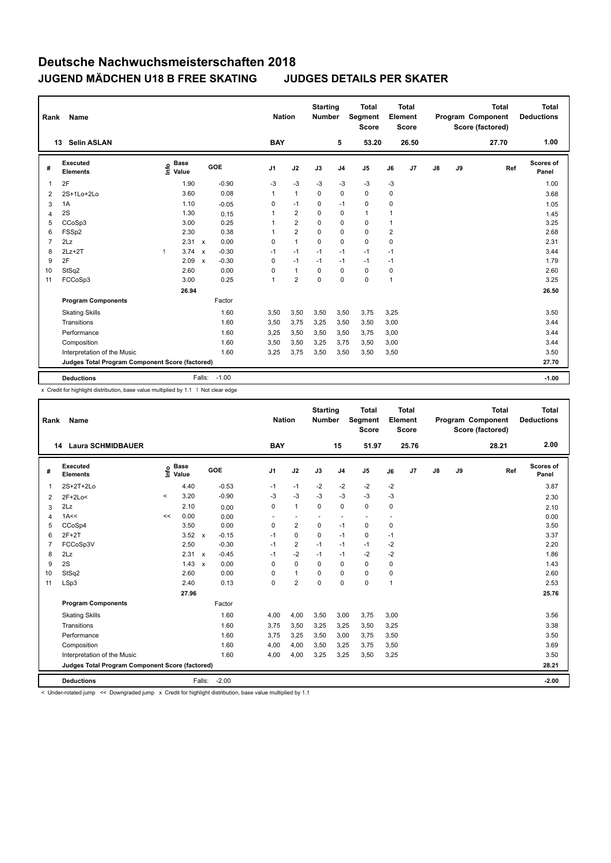| Rank           | Name                                            |   |                                  |                           |            |                | <b>Nation</b> |                         | <b>Starting</b><br><b>Number</b> |                | <b>Total</b><br>Segment<br><b>Score</b> |                         | <b>Total</b><br>Element<br><b>Score</b> |               |    | <b>Total</b><br>Program Component<br>Score (factored) | <b>Total</b><br><b>Deductions</b> |
|----------------|-------------------------------------------------|---|----------------------------------|---------------------------|------------|----------------|---------------|-------------------------|----------------------------------|----------------|-----------------------------------------|-------------------------|-----------------------------------------|---------------|----|-------------------------------------------------------|-----------------------------------|
|                | <b>Selin ASLAN</b><br>13                        |   |                                  |                           |            |                | <b>BAY</b>    |                         |                                  | 5              | 53.20                                   |                         | 26.50                                   |               |    | 27.70                                                 | 1.00                              |
| #              | Executed<br><b>Elements</b>                     |   | <b>Base</b><br>e Base<br>⊆ Value |                           | <b>GOE</b> | J <sub>1</sub> |               | J2                      | J3                               | J <sub>4</sub> | J <sub>5</sub>                          | J6                      | J <sub>7</sub>                          | $\mathsf{J}8$ | J9 | Ref                                                   | Scores of<br>Panel                |
|                | 2F                                              |   | 1.90                             |                           | $-0.90$    | $-3$           |               | $-3$                    | $-3$                             | $-3$           | $-3$                                    | $-3$                    |                                         |               |    |                                                       | 1.00                              |
| $\overline{2}$ | 2S+1Lo+2Lo                                      |   | 3.60                             |                           | 0.08       | $\mathbf{1}$   |               | $\mathbf{1}$            | 0                                | $\mathbf 0$    | $\Omega$                                | 0                       |                                         |               |    |                                                       | 3.68                              |
| 3              | 1A                                              |   | 1.10                             |                           | $-0.05$    | 0              |               | $-1$                    | 0                                | $-1$           | 0                                       | 0                       |                                         |               |    |                                                       | 1.05                              |
| 4              | 2S                                              |   | 1.30                             |                           | 0.15       | 1              |               | $\overline{2}$          | 0                                | $\mathbf 0$    | $\mathbf{1}$                            | 1                       |                                         |               |    |                                                       | 1.45                              |
| 5              | CCoSp3                                          |   | 3.00                             |                           | 0.25       | 1              |               | $\overline{2}$          | 0                                | $\mathbf 0$    | 0                                       | 1                       |                                         |               |    |                                                       | 3.25                              |
| 6              | FSSp2                                           |   | 2.30                             |                           | 0.38       | 1              |               | $\overline{2}$          | 0                                | 0              | 0                                       | $\overline{\mathbf{c}}$ |                                         |               |    |                                                       | 2.68                              |
| 7              | 2Lz                                             |   | 2.31 x                           |                           | 0.00       | 0              |               | $\mathbf{1}$            | $\Omega$                         | $\Omega$       | $\Omega$                                | 0                       |                                         |               |    |                                                       | 2.31                              |
| 8              | $2Lz+2T$                                        | 1 | 3.74                             | $\boldsymbol{\mathsf{x}}$ | $-0.30$    | $-1$           |               | $-1$                    | $-1$                             | $-1$           | $-1$                                    | $-1$                    |                                         |               |    |                                                       | 3.44                              |
| 9              | 2F                                              |   | 2.09                             | $\boldsymbol{\mathsf{x}}$ | $-0.30$    | 0              |               | $-1$                    | $-1$                             | $-1$           | $-1$                                    | $-1$                    |                                         |               |    |                                                       | 1.79                              |
| 10             | StSq2                                           |   | 2.60                             |                           | 0.00       | 0              |               | $\mathbf{1}$            | $\mathbf 0$                      | $\mathbf 0$    | 0                                       | 0                       |                                         |               |    |                                                       | 2.60                              |
| 11             | FCCoSp3                                         |   | 3.00                             |                           | 0.25       | 1              |               | $\overline{\mathbf{c}}$ | 0                                | $\mathbf 0$    | $\mathbf 0$                             | 1                       |                                         |               |    |                                                       | 3.25                              |
|                |                                                 |   | 26.94                            |                           |            |                |               |                         |                                  |                |                                         |                         |                                         |               |    |                                                       | 26.50                             |
|                | <b>Program Components</b>                       |   |                                  |                           | Factor     |                |               |                         |                                  |                |                                         |                         |                                         |               |    |                                                       |                                   |
|                | <b>Skating Skills</b>                           |   |                                  |                           | 1.60       | 3,50           |               | 3,50                    | 3,50                             | 3,50           | 3,75                                    | 3,25                    |                                         |               |    |                                                       | 3.50                              |
|                | Transitions                                     |   |                                  |                           | 1.60       | 3,50           |               | 3,75                    | 3,25                             | 3,50           | 3,50                                    | 3,00                    |                                         |               |    |                                                       | 3.44                              |
|                | Performance                                     |   |                                  |                           | 1.60       | 3,25           |               | 3,50                    | 3,50                             | 3,50           | 3,75                                    | 3,00                    |                                         |               |    |                                                       | 3.44                              |
|                | Composition                                     |   |                                  |                           | 1.60       | 3,50           |               | 3,50                    | 3,25                             | 3,75           | 3,50                                    | 3,00                    |                                         |               |    |                                                       | 3.44                              |
|                | Interpretation of the Music                     |   |                                  |                           | 1.60       | 3,25           |               | 3,75                    | 3,50                             | 3,50           | 3,50                                    | 3,50                    |                                         |               |    |                                                       | 3.50                              |
|                | Judges Total Program Component Score (factored) |   |                                  |                           |            |                |               |                         |                                  |                |                                         |                         |                                         |               |    |                                                       | 27.70                             |
|                | <b>Deductions</b>                               |   |                                  | Falls:                    | $-1.00$    |                |               |                         |                                  |                |                                         |                         |                                         |               |    |                                                       | $-1.00$                           |
|                |                                                 |   |                                  |                           |            |                |               |                         |                                  |                |                                         |                         |                                         |               |    |                                                       |                                   |

x Credit for highlight distribution, base value multiplied by 1.1 ! Not clear edge

| Rank           | Name                                            |         |                      |              |         | <b>Nation</b>  |                | <b>Starting</b><br><b>Number</b> |                          | Total<br>Segment<br><b>Score</b> |                | Total<br>Element<br><b>Score</b> |               |    | <b>Total</b><br><b>Program Component</b><br>Score (factored) | Total<br><b>Deductions</b> |
|----------------|-------------------------------------------------|---------|----------------------|--------------|---------|----------------|----------------|----------------------------------|--------------------------|----------------------------------|----------------|----------------------------------|---------------|----|--------------------------------------------------------------|----------------------------|
|                | <b>Laura SCHMIDBAUER</b><br>14                  |         |                      |              |         | <b>BAY</b>     |                |                                  | 15                       | 51.97                            |                | 25.76                            |               |    | 28.21                                                        | 2.00                       |
| #              | Executed<br><b>Elements</b>                     | ١nfo    | <b>Base</b><br>Value |              | GOE     | J <sub>1</sub> | J2             | J3                               | J <sub>4</sub>           | J <sub>5</sub>                   | J6             | J7                               | $\mathsf{J}8$ | J9 | Ref                                                          | <b>Scores of</b><br>Panel  |
| 1              | 2S+2T+2Lo                                       |         | 4.40                 |              | $-0.53$ | $-1$           | $-1$           | $-2$                             | $-2$                     | $-2$                             | $-2$           |                                  |               |    |                                                              | 3.87                       |
| 2              | 2F+2Lo<                                         | $\prec$ | 3.20                 |              | $-0.90$ | -3             | $-3$           | $-3$                             | $-3$                     | $-3$                             | $-3$           |                                  |               |    |                                                              | 2.30                       |
| 3              | 2Lz                                             |         | 2.10                 |              | 0.00    | 0              | $\mathbf{1}$   | $\mathbf 0$                      | 0                        | $\mathbf 0$                      | 0              |                                  |               |    |                                                              | 2.10                       |
| 4              | 1A<<                                            | <<      | 0.00                 |              | 0.00    | ٠              | ٠              | $\blacksquare$                   | $\overline{\phantom{a}}$ | $\overline{\phantom{a}}$         | $\blacksquare$ |                                  |               |    |                                                              | 0.00                       |
| 5              | CCoSp4                                          |         | 3.50                 |              | 0.00    | $\Omega$       | $\overline{2}$ | $\Omega$                         | $-1$                     | $\Omega$                         | 0              |                                  |               |    |                                                              | 3.50                       |
| 6              | $2F+2T$                                         |         | 3.52                 | $\mathbf{x}$ | $-0.15$ | $-1$           | $\Omega$       | $\Omega$                         | $-1$                     | $\mathbf 0$                      | $-1$           |                                  |               |    |                                                              | 3.37                       |
| $\overline{7}$ | FCCoSp3V                                        |         | 2.50                 |              | $-0.30$ | $-1$           | $\overline{2}$ | $-1$                             | $-1$                     | $-1$                             | $-2$           |                                  |               |    |                                                              | 2.20                       |
| 8              | 2Lz                                             |         | 2.31 x               |              | $-0.45$ | $-1$           | $-2$           | $-1$                             | $-1$                     | $-2$                             | $-2$           |                                  |               |    |                                                              | 1.86                       |
| 9              | 2S                                              |         | 1.43                 | $\mathbf{x}$ | 0.00    | $\Omega$       | $\Omega$       | $\Omega$                         | $\mathbf 0$              | $\Omega$                         | 0              |                                  |               |    |                                                              | 1.43                       |
| 10             | StSq2                                           |         | 2.60                 |              | 0.00    | 0              | $\mathbf{1}$   | 0                                | $\Omega$                 | $\Omega$                         | 0              |                                  |               |    |                                                              | 2.60                       |
| 11             | LSp3                                            |         | 2.40                 |              | 0.13    | 0              | $\overline{2}$ | 0                                | $\mathbf 0$              | $\mathbf 0$                      | 1              |                                  |               |    |                                                              | 2.53                       |
|                |                                                 |         | 27.96                |              |         |                |                |                                  |                          |                                  |                |                                  |               |    |                                                              | 25.76                      |
|                | <b>Program Components</b>                       |         |                      |              | Factor  |                |                |                                  |                          |                                  |                |                                  |               |    |                                                              |                            |
|                | <b>Skating Skills</b>                           |         |                      |              | 1.60    | 4,00           | 4,00           | 3,50                             | 3,00                     | 3,75                             | 3.00           |                                  |               |    |                                                              | 3.56                       |
|                | Transitions                                     |         |                      |              | 1.60    | 3.75           | 3,50           | 3,25                             | 3,25                     | 3,50                             | 3,25           |                                  |               |    |                                                              | 3.38                       |
|                | Performance                                     |         |                      |              | 1.60    | 3,75           | 3,25           | 3,50                             | 3,00                     | 3,75                             | 3,50           |                                  |               |    |                                                              | 3.50                       |
|                | Composition                                     |         |                      |              | 1.60    | 4,00           | 4,00           | 3,50                             | 3,25                     | 3,75                             | 3,50           |                                  |               |    |                                                              | 3.69                       |
|                | Interpretation of the Music                     |         |                      |              | 1.60    | 4,00           | 4,00           | 3,25                             | 3,25                     | 3,50                             | 3,25           |                                  |               |    |                                                              | 3.50                       |
|                | Judges Total Program Component Score (factored) |         |                      |              |         |                |                |                                  |                          |                                  |                |                                  |               |    |                                                              | 28.21                      |
|                | <b>Deductions</b>                               |         |                      | Falls:       | $-2.00$ |                |                |                                  |                          |                                  |                |                                  |               |    |                                                              | $-2.00$                    |

< Under-rotated jump << Downgraded jump x Credit for highlight distribution, base value multiplied by 1.1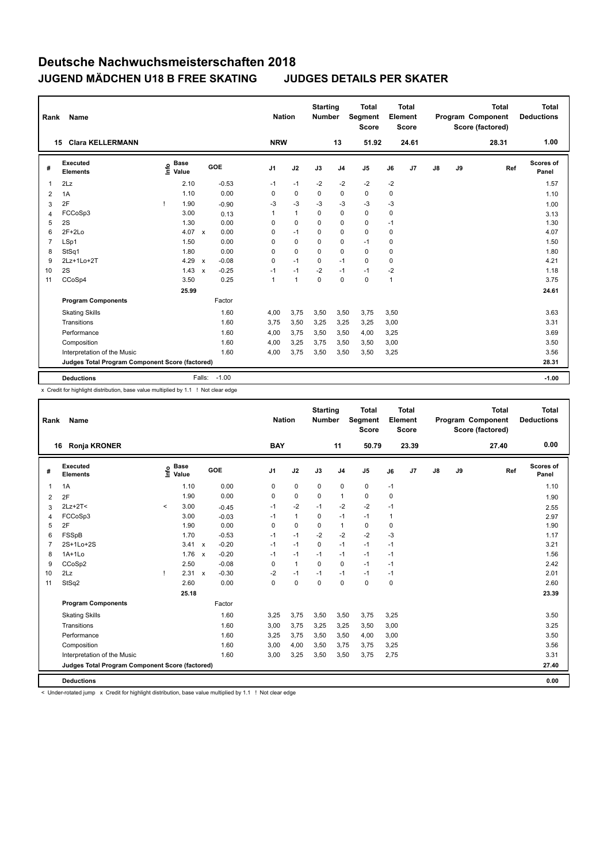| Rank           | Name                                            |                                  |                         | <b>Nation</b>  |              | <b>Starting</b><br><b>Number</b> |                | <b>Total</b><br>Segment<br><b>Score</b> |      | <b>Total</b><br>Element<br><b>Score</b> |               |    | <b>Total</b><br><b>Program Component</b><br>Score (factored) | <b>Total</b><br><b>Deductions</b> |
|----------------|-------------------------------------------------|----------------------------------|-------------------------|----------------|--------------|----------------------------------|----------------|-----------------------------------------|------|-----------------------------------------|---------------|----|--------------------------------------------------------------|-----------------------------------|
|                | <b>Clara KELLERMANN</b><br>15                   |                                  |                         | <b>NRW</b>     |              |                                  | 13             | 51.92                                   |      | 24.61                                   |               |    | 28.31                                                        | 1.00                              |
| #              | Executed<br><b>Elements</b>                     | <b>Base</b><br>e Base<br>⊆ Value | GOE                     | J <sub>1</sub> | J2           | J3                               | J <sub>4</sub> | J <sub>5</sub>                          | J6   | J <sub>7</sub>                          | $\mathsf{J}8$ | J9 | Ref                                                          | Scores of<br>Panel                |
|                | 2Lz                                             | 2.10                             | $-0.53$                 | $-1$           | $-1$         | $-2$                             | $-2$           | $-2$                                    | $-2$ |                                         |               |    |                                                              | 1.57                              |
| $\overline{2}$ | 1A                                              | 1.10                             | 0.00                    | 0              | $\mathbf 0$  | $\mathbf 0$                      | $\Omega$       | $\mathbf 0$                             | 0    |                                         |               |    |                                                              | 1.10                              |
| 3              | 2F                                              | 1.90<br>т                        | $-0.90$                 | $-3$           | $-3$         | $-3$                             | $-3$           | $-3$                                    | $-3$ |                                         |               |    |                                                              | 1.00                              |
| $\overline{4}$ | FCCoSp3                                         | 3.00                             | 0.13                    | 1              | $\mathbf{1}$ | 0                                | $\mathbf 0$    | $\mathbf 0$                             | 0    |                                         |               |    |                                                              | 3.13                              |
| 5              | 2S                                              | 1.30                             | 0.00                    | 0              | $\Omega$     | $\Omega$                         | 0              | 0                                       | $-1$ |                                         |               |    |                                                              | 1.30                              |
| 6              | $2F+2Lo$                                        | 4.07                             | 0.00<br>$\mathsf{x}$    | 0              | $-1$         | 0                                | 0              | $\mathbf 0$                             | 0    |                                         |               |    |                                                              | 4.07                              |
| $\overline{7}$ | LSp1                                            | 1.50                             | 0.00                    | 0              | $\Omega$     | $\Omega$                         | $\mathbf 0$    | $-1$                                    | 0    |                                         |               |    |                                                              | 1.50                              |
| 8              | StSq1                                           | 1.80                             | 0.00                    | 0              | 0            | 0                                | $\mathbf 0$    | 0                                       | 0    |                                         |               |    |                                                              | 1.80                              |
| 9              | 2Lz+1Lo+2T                                      | 4.29                             | $-0.08$<br>$\mathsf{x}$ | 0              | $-1$         | $\mathbf 0$                      | $-1$           | $\mathbf 0$                             | 0    |                                         |               |    |                                                              | 4.21                              |
| 10             | 2S                                              | 1.43                             | $-0.25$<br>$\mathsf{x}$ | $-1$           | $-1$         | $-2$                             | $-1$           | $-1$                                    | $-2$ |                                         |               |    |                                                              | 1.18                              |
| 11             | CCoSp4                                          | 3.50                             | 0.25                    | 1              | $\mathbf{1}$ | 0                                | $\mathbf 0$    | $\mathbf 0$                             | 1    |                                         |               |    |                                                              | 3.75                              |
|                |                                                 | 25.99                            |                         |                |              |                                  |                |                                         |      |                                         |               |    |                                                              | 24.61                             |
|                | <b>Program Components</b>                       |                                  | Factor                  |                |              |                                  |                |                                         |      |                                         |               |    |                                                              |                                   |
|                | <b>Skating Skills</b>                           |                                  | 1.60                    | 4,00           | 3,75         | 3,50                             | 3,50           | 3,75                                    | 3,50 |                                         |               |    |                                                              | 3.63                              |
|                | Transitions                                     |                                  | 1.60                    | 3.75           | 3,50         | 3,25                             | 3,25           | 3,25                                    | 3,00 |                                         |               |    |                                                              | 3.31                              |
|                | Performance                                     |                                  | 1.60                    | 4,00           | 3,75         | 3,50                             | 3,50           | 4,00                                    | 3,25 |                                         |               |    |                                                              | 3.69                              |
|                | Composition                                     |                                  | 1.60                    | 4,00           | 3,25         | 3,75                             | 3,50           | 3,50                                    | 3,00 |                                         |               |    |                                                              | 3.50                              |
|                | Interpretation of the Music                     |                                  | 1.60                    | 4,00           | 3,75         | 3,50                             | 3,50           | 3,50                                    | 3,25 |                                         |               |    |                                                              | 3.56                              |
|                | Judges Total Program Component Score (factored) |                                  |                         |                |              |                                  |                |                                         |      |                                         |               |    |                                                              | 28.31                             |
|                |                                                 |                                  | $-1.00$                 |                |              |                                  |                |                                         |      |                                         |               |    |                                                              |                                   |
|                | <b>Deductions</b>                               |                                  | Falls:                  |                |              |                                  |                |                                         |      |                                         |               |    |                                                              | $-1.00$                           |

x Credit for highlight distribution, base value multiplied by 1.1 ! Not clear edge

| Rank | Name                                            |          |                      |                           |         |                | <b>Nation</b> |                | <b>Starting</b><br><b>Number</b> |                | <b>Total</b><br>Segment<br><b>Score</b> |      | <b>Total</b><br>Element<br><b>Score</b> |               |    | <b>Total</b><br>Program Component<br>Score (factored) | <b>Total</b><br><b>Deductions</b> |
|------|-------------------------------------------------|----------|----------------------|---------------------------|---------|----------------|---------------|----------------|----------------------------------|----------------|-----------------------------------------|------|-----------------------------------------|---------------|----|-------------------------------------------------------|-----------------------------------|
|      | <b>Ronja KRONER</b><br>16                       |          |                      |                           |         | <b>BAY</b>     |               |                |                                  | 11             | 50.79                                   |      | 23.39                                   |               |    | 27.40                                                 | 0.00                              |
| #    | Executed<br><b>Elements</b>                     | ۴٥       | <b>Base</b><br>Value |                           | GOE     | J <sub>1</sub> |               | J2             | J3                               | J <sub>4</sub> | J <sub>5</sub>                          | J6   | J7                                      | $\mathsf{J}8$ | J9 | Ref                                                   | <b>Scores of</b><br>Panel         |
| 1    | 1A                                              |          | 1.10                 |                           | 0.00    | 0              |               | $\mathbf 0$    | $\mathbf 0$                      | $\pmb{0}$      | 0                                       | $-1$ |                                         |               |    |                                                       | 1.10                              |
| 2    | 2F                                              |          | 1.90                 |                           | 0.00    | 0              |               | $\mathbf 0$    | 0                                | $\mathbf{1}$   | 0                                       | 0    |                                         |               |    |                                                       | 1.90                              |
| 3    | $2Lz+2T2$                                       | $\hat{}$ | 3.00                 |                           | $-0.45$ | $-1$           |               | $-2$           | $-1$                             | $-2$           | $-2$                                    | $-1$ |                                         |               |    |                                                       | 2.55                              |
| 4    | FCCoSp3                                         |          | 3.00                 |                           | $-0.03$ | $-1$           |               | $\mathbf{1}$   | 0                                | $-1$           | $-1$                                    | 1    |                                         |               |    |                                                       | 2.97                              |
| 5    | 2F                                              |          | 1.90                 |                           | 0.00    | $\Omega$       |               | $\mathbf 0$    | $\mathbf 0$                      | $\mathbf{1}$   | $\pmb{0}$                               | 0    |                                         |               |    |                                                       | 1.90                              |
| 6    | FSSpB                                           |          | 1.70                 |                           | $-0.53$ | $-1$           |               | $-1$           | $-2$                             | $-2$           | $-2$                                    | $-3$ |                                         |               |    |                                                       | 1.17                              |
| 7    | 2S+1Lo+2S                                       |          | 3.41                 | $\mathsf{x}$              | $-0.20$ | $-1$           |               | $-1$           | $\mathbf 0$                      | $-1$           | $-1$                                    | $-1$ |                                         |               |    |                                                       | 3.21                              |
| 8    | $1A+1Lo$                                        |          | 1.76                 | $\boldsymbol{\mathsf{x}}$ | $-0.20$ | $-1$           |               | $-1$           | $-1$                             | $-1$           | $-1$                                    | $-1$ |                                         |               |    |                                                       | 1.56                              |
| 9    | CCoSp2                                          |          | 2.50                 |                           | $-0.08$ | $\Omega$       |               | $\overline{1}$ | $\mathbf 0$                      | $\mathbf 0$    | $-1$                                    | $-1$ |                                         |               |    |                                                       | 2.42                              |
| 10   | 2Lz                                             |          | 2.31                 | $\mathsf{x}$              | $-0.30$ | $-2$           |               | $-1$           | $-1$                             | $-1$           | $-1$                                    | $-1$ |                                         |               |    |                                                       | 2.01                              |
| 11   | StSq2                                           |          | 2.60                 |                           | 0.00    | 0              |               | $\pmb{0}$      | $\mathbf 0$                      | $\mathbf 0$    | $\pmb{0}$                               | 0    |                                         |               |    |                                                       | 2.60                              |
|      |                                                 |          | 25.18                |                           |         |                |               |                |                                  |                |                                         |      |                                         |               |    |                                                       | 23.39                             |
|      | <b>Program Components</b>                       |          |                      |                           | Factor  |                |               |                |                                  |                |                                         |      |                                         |               |    |                                                       |                                   |
|      | <b>Skating Skills</b>                           |          |                      |                           | 1.60    | 3,25           |               | 3,75           | 3,50                             | 3,50           | 3,75                                    | 3,25 |                                         |               |    |                                                       | 3.50                              |
|      | Transitions                                     |          |                      |                           | 1.60    | 3,00           |               | 3,75           | 3,25                             | 3,25           | 3,50                                    | 3,00 |                                         |               |    |                                                       | 3.25                              |
|      | Performance                                     |          |                      |                           | 1.60    | 3,25           |               | 3,75           | 3,50                             | 3,50           | 4,00                                    | 3,00 |                                         |               |    |                                                       | 3.50                              |
|      | Composition                                     |          |                      |                           | 1.60    | 3,00           |               | 4,00           | 3,50                             | 3,75           | 3,75                                    | 3,25 |                                         |               |    |                                                       | 3.56                              |
|      | Interpretation of the Music                     |          |                      |                           | 1.60    | 3,00           |               | 3,25           | 3,50                             | 3,50           | 3,75                                    | 2,75 |                                         |               |    |                                                       | 3.31                              |
|      | Judges Total Program Component Score (factored) |          |                      |                           |         |                |               |                |                                  |                |                                         |      |                                         |               |    |                                                       | 27.40                             |
|      | <b>Deductions</b>                               |          |                      |                           |         |                |               |                |                                  |                |                                         |      |                                         |               |    |                                                       | 0.00                              |

< Under-rotated jump x Credit for highlight distribution, base value multiplied by 1.1 ! Not clear edge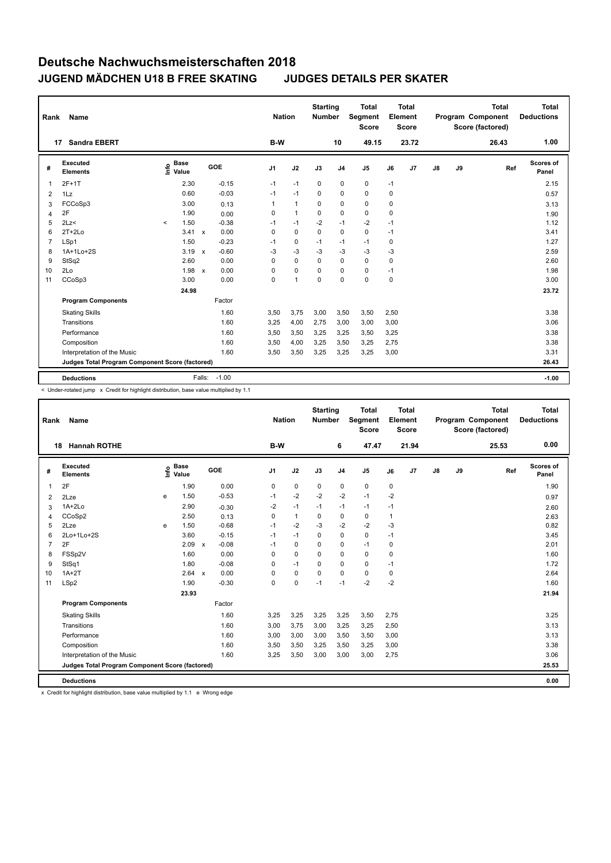| Rank           | Name                                            |                              |                         | <b>Nation</b>  |                | <b>Starting</b><br><b>Number</b> |                | <b>Total</b><br>Segment<br><b>Score</b> |      | <b>Total</b><br>Element<br><b>Score</b> |               |    | <b>Total</b><br>Program Component<br>Score (factored) | <b>Total</b><br><b>Deductions</b> |
|----------------|-------------------------------------------------|------------------------------|-------------------------|----------------|----------------|----------------------------------|----------------|-----------------------------------------|------|-----------------------------------------|---------------|----|-------------------------------------------------------|-----------------------------------|
|                | <b>Sandra EBERT</b><br>17                       |                              |                         | B-W            |                |                                  | 10             | 49.15                                   |      | 23.72                                   |               |    | 26.43                                                 | 1.00                              |
| #              | Executed<br><b>Elements</b>                     | <b>Base</b><br>lnfo<br>Value | <b>GOE</b>              | J <sub>1</sub> | J2             | J3                               | J <sub>4</sub> | J <sub>5</sub>                          | J6   | J7                                      | $\mathsf{J}8$ | J9 | Ref                                                   | Scores of<br>Panel                |
| 1              | $2F+1T$                                         | 2.30                         | $-0.15$                 | $-1$           | $-1$           | 0                                | $\mathbf 0$    | $\mathbf 0$                             | $-1$ |                                         |               |    |                                                       | 2.15                              |
| $\overline{2}$ | 1Lz                                             | 0.60                         | $-0.03$                 | $-1$           | $-1$           | 0                                | $\mathbf 0$    | $\mathbf 0$                             | 0    |                                         |               |    |                                                       | 0.57                              |
| 3              | FCCoSp3                                         | 3.00                         | 0.13                    | 1              | $\mathbf{1}$   | 0                                | 0              | 0                                       | 0    |                                         |               |    |                                                       | 3.13                              |
| 4              | 2F                                              | 1.90                         | 0.00                    | 0              | $\mathbf{1}$   | $\Omega$                         | $\mathbf 0$    | $\mathbf 0$                             | 0    |                                         |               |    |                                                       | 1.90                              |
| 5              | 2Lz                                             | 1.50<br>$\prec$              | $-0.38$                 | $-1$           | $-1$           | $-2$                             | $-1$           | -2                                      | $-1$ |                                         |               |    |                                                       | 1.12                              |
| 6              | $2T+2Lo$                                        | 3.41                         | 0.00<br>$\mathbf{x}$    | 0              | $\mathbf 0$    | $\Omega$                         | $\Omega$       | $\mathbf 0$                             | $-1$ |                                         |               |    |                                                       | 3.41                              |
| 7              | LSp1                                            | 1.50                         | $-0.23$                 | $-1$           | 0              | $-1$                             | $-1$           | $-1$                                    | 0    |                                         |               |    |                                                       | 1.27                              |
| 8              | 1A+1Lo+2S                                       | 3.19                         | $-0.60$<br>$\mathsf{x}$ | -3             | $-3$           | -3                               | -3             | $-3$                                    | -3   |                                         |               |    |                                                       | 2.59                              |
| 9              | StSq2                                           | 2.60                         | 0.00                    | 0              | $\mathbf 0$    | $\Omega$                         | $\mathbf 0$    | $\Omega$                                | 0    |                                         |               |    |                                                       | 2.60                              |
| 10             | 2Lo                                             | 1.98 x                       | 0.00                    | 0              | $\mathbf 0$    | $\Omega$                         | 0              | 0                                       | $-1$ |                                         |               |    |                                                       | 1.98                              |
| 11             | CCoSp3                                          | 3.00                         | 0.00                    | 0              | $\overline{1}$ | 0                                | $\mathbf 0$    | $\mathbf 0$                             | 0    |                                         |               |    |                                                       | 3.00                              |
|                |                                                 | 24.98                        |                         |                |                |                                  |                |                                         |      |                                         |               |    |                                                       | 23.72                             |
|                | <b>Program Components</b>                       |                              | Factor                  |                |                |                                  |                |                                         |      |                                         |               |    |                                                       |                                   |
|                | <b>Skating Skills</b>                           |                              | 1.60                    | 3,50           | 3,75           | 3,00                             | 3,50           | 3,50                                    | 2,50 |                                         |               |    |                                                       | 3.38                              |
|                | Transitions                                     |                              | 1.60                    | 3,25           | 4,00           | 2,75                             | 3,00           | 3,00                                    | 3,00 |                                         |               |    |                                                       | 3.06                              |
|                | Performance                                     |                              | 1.60                    | 3,50           | 3,50           | 3,25                             | 3,25           | 3,50                                    | 3,25 |                                         |               |    |                                                       | 3.38                              |
|                | Composition                                     |                              | 1.60                    | 3,50           | 4,00           | 3,25                             | 3,50           | 3,25                                    | 2,75 |                                         |               |    |                                                       | 3.38                              |
|                | Interpretation of the Music                     |                              | 1.60                    | 3,50           | 3,50           | 3,25                             | 3,25           | 3,25                                    | 3,00 |                                         |               |    |                                                       | 3.31                              |
|                | Judges Total Program Component Score (factored) |                              |                         |                |                |                                  |                |                                         |      |                                         |               |    |                                                       | 26.43                             |
|                | <b>Deductions</b>                               |                              | $-1.00$<br>Falls:       |                |                |                                  |                |                                         |      |                                         |               |    |                                                       | $-1.00$                           |

< Under-rotated jump x Credit for highlight distribution, base value multiplied by 1.1

| Rank           | Name                                            | <b>Nation</b> |                      | <b>Starting</b><br><b>Number</b> |         | <b>Total</b><br>Segment<br><b>Score</b> |              | <b>Total</b><br>Element<br><b>Score</b> |                |             | <b>Total</b><br><b>Program Component</b><br>Score (factored) | <b>Total</b><br><b>Deductions</b> |               |    |       |                    |
|----------------|-------------------------------------------------|---------------|----------------------|----------------------------------|---------|-----------------------------------------|--------------|-----------------------------------------|----------------|-------------|--------------------------------------------------------------|-----------------------------------|---------------|----|-------|--------------------|
|                | <b>Hannah ROTHE</b><br>18                       |               |                      |                                  |         | B-W                                     |              |                                         | 6              | 47.47       |                                                              | 21.94                             |               |    | 25.53 | 0.00               |
| #              | Executed<br><b>Elements</b>                     | Info          | <b>Base</b><br>Value |                                  | GOE     | J <sub>1</sub>                          | J2           | J3                                      | J <sub>4</sub> | J5          | J6                                                           | J7                                | $\mathsf{J}8$ | J9 | Ref   | Scores of<br>Panel |
| 1              | 2F                                              |               | 1.90                 |                                  | 0.00    | 0                                       | $\mathbf 0$  | 0                                       | 0              | $\mathbf 0$ | 0                                                            |                                   |               |    |       | 1.90               |
| $\overline{2}$ | 2Lze                                            | e             | 1.50                 |                                  | $-0.53$ | $-1$                                    | $-2$         | $-2$                                    | $-2$           | $-1$        | $-2$                                                         |                                   |               |    |       | 0.97               |
| 3              | $1A+2Lo$                                        |               | 2.90                 |                                  | $-0.30$ | $-2$                                    | $-1$         | $-1$                                    | $-1$           | $-1$        | $-1$                                                         |                                   |               |    |       | 2.60               |
| 4              | CCoSp2                                          |               | 2.50                 |                                  | 0.13    | 0                                       | $\mathbf{1}$ | 0                                       | 0              | 0           | 1                                                            |                                   |               |    |       | 2.63               |
| 5              | 2Lze                                            | e             | 1.50                 |                                  | $-0.68$ | $-1$                                    | $-2$         | $-3$                                    | $-2$           | $-2$        | $-3$                                                         |                                   |               |    |       | 0.82               |
| 6              | 2Lo+1Lo+2S                                      |               | 3.60                 |                                  | $-0.15$ | $-1$                                    | $-1$         | $\Omega$                                | 0              | $\mathbf 0$ | $-1$                                                         |                                   |               |    |       | 3.45               |
| $\overline{7}$ | 2F                                              |               | 2.09                 | $\boldsymbol{\mathsf{x}}$        | $-0.08$ | $-1$                                    | 0            | 0                                       | 0              | $-1$        | 0                                                            |                                   |               |    |       | 2.01               |
| 8              | FSSp2V                                          |               | 1.60                 |                                  | 0.00    | 0                                       | 0            | 0                                       | 0              | 0           | 0                                                            |                                   |               |    |       | 1.60               |
| 9              | StSq1                                           |               | 1.80                 |                                  | $-0.08$ | 0                                       | $-1$         | 0                                       | 0              | $\mathbf 0$ | $-1$                                                         |                                   |               |    |       | 1.72               |
| 10             | $1A+2T$                                         |               | 2.64                 | $\mathsf{x}$                     | 0.00    | 0                                       | $\mathbf 0$  | $\mathbf 0$                             | 0              | $\mathbf 0$ | 0                                                            |                                   |               |    |       | 2.64               |
| 11             | LSp2                                            |               | 1.90                 |                                  | $-0.30$ | 0                                       | $\mathbf 0$  | $-1$                                    | $-1$           | $-2$        | $-2$                                                         |                                   |               |    |       | 1.60               |
|                |                                                 |               | 23.93                |                                  |         |                                         |              |                                         |                |             |                                                              |                                   |               |    |       | 21.94              |
|                | <b>Program Components</b>                       |               |                      |                                  | Factor  |                                         |              |                                         |                |             |                                                              |                                   |               |    |       |                    |
|                | <b>Skating Skills</b>                           |               |                      |                                  | 1.60    | 3,25                                    | 3,25         | 3,25                                    | 3,25           | 3,50        | 2,75                                                         |                                   |               |    |       | 3.25               |
|                | Transitions                                     |               |                      |                                  | 1.60    | 3,00                                    | 3,75         | 3,00                                    | 3,25           | 3,25        | 2,50                                                         |                                   |               |    |       | 3.13               |
|                | Performance                                     |               |                      |                                  | 1.60    | 3,00                                    | 3,00         | 3,00                                    | 3,50           | 3,50        | 3,00                                                         |                                   |               |    |       | 3.13               |
|                | Composition                                     |               |                      |                                  | 1.60    | 3,50                                    | 3,50         | 3,25                                    | 3,50           | 3,25        | 3,00                                                         |                                   |               |    |       | 3.38               |
|                | Interpretation of the Music                     |               |                      |                                  | 1.60    | 3,25                                    | 3,50         | 3,00                                    | 3,00           | 3,00        | 2,75                                                         |                                   |               |    |       | 3.06               |
|                | Judges Total Program Component Score (factored) |               |                      |                                  |         |                                         |              |                                         |                |             |                                                              |                                   |               |    |       | 25.53              |
|                | <b>Deductions</b>                               |               |                      |                                  |         |                                         |              |                                         |                |             |                                                              |                                   |               |    |       | 0.00               |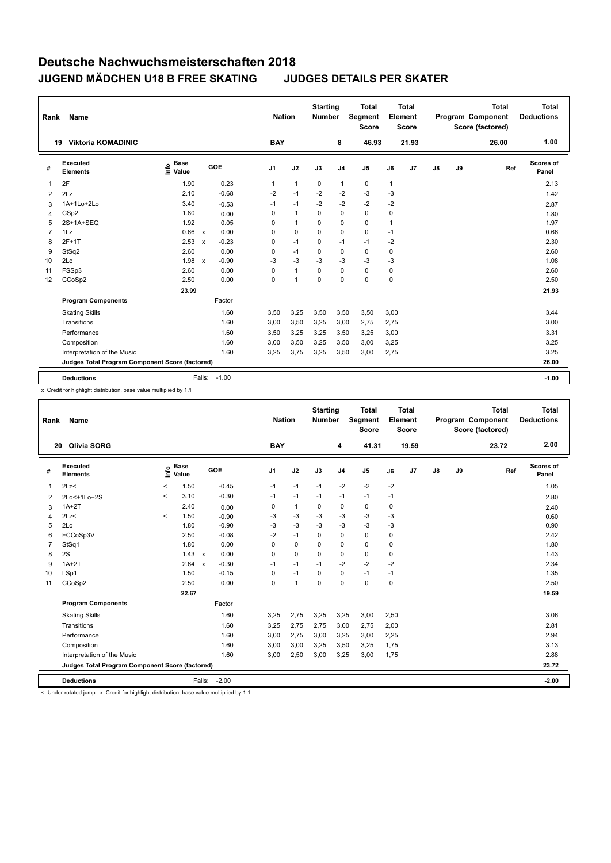| Rank           | Name                                            |                                  |                         | <b>Nation</b>  |                | <b>Starting</b><br><b>Number</b> |                | <b>Total</b><br>Segment<br><b>Score</b> |      | <b>Total</b><br>Element<br><b>Score</b> |    |    | <b>Total</b><br>Program Component<br>Score (factored) | <b>Total</b><br><b>Deductions</b> |
|----------------|-------------------------------------------------|----------------------------------|-------------------------|----------------|----------------|----------------------------------|----------------|-----------------------------------------|------|-----------------------------------------|----|----|-------------------------------------------------------|-----------------------------------|
|                | <b>Viktoria KOMADINIC</b><br>19                 |                                  |                         | <b>BAY</b>     |                |                                  | 8              | 46.93                                   |      | 21.93                                   |    |    | 26.00                                                 | 1.00                              |
| #              | Executed<br><b>Elements</b>                     | <b>Base</b><br>e Base<br>⊆ Value | GOE                     | J <sub>1</sub> | J2             | J3                               | J <sub>4</sub> | J <sub>5</sub>                          | J6   | J7                                      | J8 | J9 | Ref                                                   | Scores of<br>Panel                |
|                | 2F                                              | 1.90                             | 0.23                    | 1              | $\mathbf{1}$   | 0                                | $\mathbf{1}$   | 0                                       | 1    |                                         |    |    |                                                       | 2.13                              |
| $\overline{2}$ | 2Lz                                             | 2.10                             | $-0.68$                 | $-2$           | $-1$           | $-2$                             | $-2$           | $-3$                                    | $-3$ |                                         |    |    |                                                       | 1.42                              |
| 3              | 1A+1Lo+2Lo                                      | 3.40                             | $-0.53$                 | $-1$           | $-1$           | $-2$                             | $-2$           | $-2$                                    | $-2$ |                                         |    |    |                                                       | 2.87                              |
| $\overline{4}$ | CSp2                                            | 1.80                             | 0.00                    | 0              | $\mathbf{1}$   | $\Omega$                         | $\mathbf 0$    | $\mathbf 0$                             | 0    |                                         |    |    |                                                       | 1.80                              |
| 5              | 2S+1A+SEQ                                       | 1.92                             | 0.05                    | 0              | $\mathbf{1}$   | 0                                | 0              | 0                                       | 1    |                                         |    |    |                                                       | 1.97                              |
| 7              | 1Lz                                             | 0.66                             | 0.00<br>$\mathbf{x}$    | 0              | 0              | $\Omega$                         | 0              | $\mathbf 0$                             | $-1$ |                                         |    |    |                                                       | 0.66                              |
| 8              | $2F+1T$                                         | 2.53                             | $-0.23$<br>$\mathbf{x}$ | 0              | $-1$           | $\Omega$                         | $-1$           | $-1$                                    | $-2$ |                                         |    |    |                                                       | 2.30                              |
| 9              | StSq2                                           | 2.60                             | 0.00                    | 0              | $-1$           | $\Omega$                         | $\mathbf 0$    | $\pmb{0}$                               | 0    |                                         |    |    |                                                       | 2.60                              |
| 10             | 2Lo                                             | 1.98                             | $-0.90$<br>$\mathsf{x}$ | $-3$           | $-3$           | $-3$                             | $-3$           | $-3$                                    | -3   |                                         |    |    |                                                       | 1.08                              |
| 11             | FSSp3                                           | 2.60                             | 0.00                    | 0              | $\mathbf{1}$   | $\Omega$                         | $\Omega$       | $\mathbf 0$                             | 0    |                                         |    |    |                                                       | 2.60                              |
| 12             | CCoSp2                                          | 2.50                             | 0.00                    | 0              | $\overline{1}$ | $\mathbf 0$                      | $\mathbf 0$    | $\pmb{0}$                               | 0    |                                         |    |    |                                                       | 2.50                              |
|                |                                                 | 23.99                            |                         |                |                |                                  |                |                                         |      |                                         |    |    |                                                       | 21.93                             |
|                | <b>Program Components</b>                       |                                  | Factor                  |                |                |                                  |                |                                         |      |                                         |    |    |                                                       |                                   |
|                | <b>Skating Skills</b>                           |                                  | 1.60                    | 3,50           | 3,25           | 3,50                             | 3,50           | 3,50                                    | 3,00 |                                         |    |    |                                                       | 3.44                              |
|                | Transitions                                     |                                  | 1.60                    | 3,00           | 3,50           | 3,25                             | 3,00           | 2,75                                    | 2,75 |                                         |    |    |                                                       | 3.00                              |
|                | Performance                                     |                                  | 1.60                    | 3,50           | 3,25           | 3,25                             | 3,50           | 3,25                                    | 3,00 |                                         |    |    |                                                       | 3.31                              |
|                | Composition                                     |                                  | 1.60                    | 3,00           | 3,50           | 3,25                             | 3,50           | 3,00                                    | 3,25 |                                         |    |    |                                                       | 3.25                              |
|                | Interpretation of the Music                     |                                  | 1.60                    | 3,25           | 3,75           | 3,25                             | 3,50           | 3,00                                    | 2,75 |                                         |    |    |                                                       | 3.25                              |
|                | Judges Total Program Component Score (factored) |                                  |                         |                |                |                                  |                |                                         |      |                                         |    |    |                                                       | 26.00                             |
|                | <b>Deductions</b>                               |                                  | $-1.00$<br>Falls:       |                |                |                                  |                |                                         |      |                                         |    |    |                                                       | $-1.00$                           |

x Credit for highlight distribution, base value multiplied by 1.1

| Rank           | Name                                            |         |                      |                           |         |                | <b>Nation</b> | <b>Starting</b><br><b>Number</b> |                | <b>Total</b><br>Segment<br><b>Score</b> |             | <b>Total</b><br>Element<br><b>Score</b> |               |    | <b>Total</b><br>Program Component<br>Score (factored) | <b>Total</b><br><b>Deductions</b> |
|----------------|-------------------------------------------------|---------|----------------------|---------------------------|---------|----------------|---------------|----------------------------------|----------------|-----------------------------------------|-------------|-----------------------------------------|---------------|----|-------------------------------------------------------|-----------------------------------|
|                | <b>Olivia SORG</b><br>20                        |         |                      |                           |         | <b>BAY</b>     |               |                                  | 4              | 41.31                                   |             | 19.59                                   |               |    | 23.72                                                 | 2.00                              |
| #              | Executed<br><b>Elements</b>                     | lnfo    | <b>Base</b><br>Value | GOE                       |         | J <sub>1</sub> | J2            | J3                               | J <sub>4</sub> | J <sub>5</sub>                          | J6          | J7                                      | $\mathsf{J}8$ | J9 | Ref                                                   | Scores of<br>Panel                |
| $\mathbf{1}$   | 2Lz                                             | $\prec$ | 1.50                 |                           | $-0.45$ | $-1$           | $-1$          | $-1$                             | $-2$           | $-2$                                    | $-2$        |                                         |               |    |                                                       | 1.05                              |
| 2              | 2Lo<+1Lo+2S                                     | $\prec$ | 3.10                 |                           | $-0.30$ | $-1$           | $-1$          | $-1$                             | $-1$           | $-1$                                    | $-1$        |                                         |               |    |                                                       | 2.80                              |
| 3              | $1A+2T$                                         |         | 2.40                 |                           | 0.00    | 0              | $\mathbf{1}$  | 0                                | 0              | 0                                       | 0           |                                         |               |    |                                                       | 2.40                              |
| $\overline{4}$ | 2Lz<                                            | $\prec$ | 1.50                 |                           | $-0.90$ | -3             | $-3$          | -3                               | $-3$           | $-3$                                    | $-3$        |                                         |               |    |                                                       | 0.60                              |
| 5              | 2Lo                                             |         | 1.80                 |                           | $-0.90$ | $-3$           | $-3$          | $-3$                             | $-3$           | $-3$                                    | $-3$        |                                         |               |    |                                                       | 0.90                              |
| 6              | FCCoSp3V                                        |         | 2.50                 |                           | $-0.08$ | $-2$           | $-1$          | 0                                | $\mathbf 0$    | 0                                       | 0           |                                         |               |    |                                                       | 2.42                              |
| $\overline{7}$ | StSq1                                           |         | 1.80                 |                           | 0.00    | 0              | $\mathbf 0$   | $\Omega$                         | $\pmb{0}$      | $\mathbf 0$                             | 0           |                                         |               |    |                                                       | 1.80                              |
| 8              | 2S                                              |         | 1.43                 | $\mathsf{x}$              | 0.00    | 0              | $\mathbf 0$   | $\mathbf 0$                      | $\mathbf 0$    | $\mathbf 0$                             | 0           |                                         |               |    |                                                       | 1.43                              |
| 9              | $1A+2T$                                         |         | 2.64                 | $\boldsymbol{\mathsf{x}}$ | $-0.30$ | $-1$           | -1            | -1                               | $-2$           | $-2$                                    | $-2$        |                                         |               |    |                                                       | 2.34                              |
| 10             | LSp1                                            |         | 1.50                 |                           | $-0.15$ | 0              | $-1$          | $\mathbf 0$                      | $\pmb{0}$      | $-1$                                    | $-1$        |                                         |               |    |                                                       | 1.35                              |
| 11             | CCoSp2                                          |         | 2.50                 |                           | 0.00    | 0              | $\mathbf{1}$  | $\mathbf 0$                      | $\mathbf 0$    | $\mathbf 0$                             | $\mathbf 0$ |                                         |               |    |                                                       | 2.50                              |
|                |                                                 |         | 22.67                |                           |         |                |               |                                  |                |                                         |             |                                         |               |    |                                                       | 19.59                             |
|                | <b>Program Components</b>                       |         |                      |                           | Factor  |                |               |                                  |                |                                         |             |                                         |               |    |                                                       |                                   |
|                | <b>Skating Skills</b>                           |         |                      |                           | 1.60    | 3,25           | 2,75          | 3,25                             | 3,25           | 3,00                                    | 2,50        |                                         |               |    |                                                       | 3.06                              |
|                | Transitions                                     |         |                      |                           | 1.60    | 3,25           | 2,75          | 2,75                             | 3,00           | 2,75                                    | 2,00        |                                         |               |    |                                                       | 2.81                              |
|                | Performance                                     |         |                      |                           | 1.60    | 3,00           | 2,75          | 3,00                             | 3,25           | 3,00                                    | 2,25        |                                         |               |    |                                                       | 2.94                              |
|                | Composition                                     |         |                      |                           | 1.60    | 3,00           | 3,00          | 3,25                             | 3,50           | 3,25                                    | 1,75        |                                         |               |    |                                                       | 3.13                              |
|                | Interpretation of the Music                     |         |                      |                           | 1.60    | 3,00           | 2,50          | 3,00                             | 3,25           | 3,00                                    | 1,75        |                                         |               |    |                                                       | 2.88                              |
|                | Judges Total Program Component Score (factored) |         |                      |                           |         |                |               |                                  |                |                                         |             |                                         |               |    |                                                       | 23.72                             |
|                | <b>Deductions</b>                               |         |                      | Falls:                    | $-2.00$ |                |               |                                  |                |                                         |             |                                         |               |    |                                                       | $-2.00$                           |

< Under-rotated jump x Credit for highlight distribution, base value multiplied by 1.1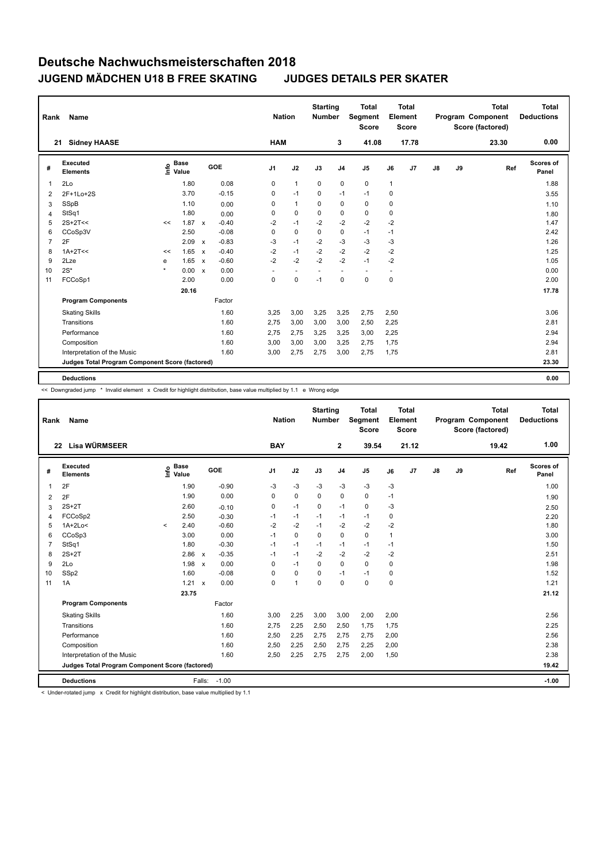| Rank | Name                                            |         |                      |              |         | <b>Nation</b>  |              | <b>Starting</b><br><b>Number</b> |                          | <b>Total</b><br>Segment<br>Score |              | <b>Total</b><br>Element<br><b>Score</b> |               |    | <b>Total</b><br>Program Component<br>Score (factored) | <b>Total</b><br><b>Deductions</b> |
|------|-------------------------------------------------|---------|----------------------|--------------|---------|----------------|--------------|----------------------------------|--------------------------|----------------------------------|--------------|-----------------------------------------|---------------|----|-------------------------------------------------------|-----------------------------------|
|      | <b>Sidney HAASE</b><br>21                       |         |                      |              |         | <b>HAM</b>     |              |                                  | 3                        | 41.08                            |              | 17.78                                   |               |    | 23.30                                                 | 0.00                              |
| #    | <b>Executed</b><br><b>Elements</b>              | lnfo    | <b>Base</b><br>Value |              | GOE     | J <sub>1</sub> | J2           | J3                               | J <sub>4</sub>           | J <sub>5</sub>                   | J6           | J7                                      | $\mathsf{J}8$ | J9 | Ref                                                   | <b>Scores of</b><br>Panel         |
| 1    | 2Lo                                             |         | 1.80                 |              | 0.08    | 0              | $\mathbf{1}$ | $\mathbf 0$                      | $\mathbf 0$              | 0                                | $\mathbf{1}$ |                                         |               |    |                                                       | 1.88                              |
| 2    | 2F+1Lo+2S                                       |         | 3.70                 |              | $-0.15$ | 0              | $-1$         | 0                                | $-1$                     | $-1$                             | 0            |                                         |               |    |                                                       | 3.55                              |
| 3    | SSpB                                            |         | 1.10                 |              | 0.00    | 0              | $\mathbf{1}$ | 0                                | $\mathbf 0$              | 0                                | 0            |                                         |               |    |                                                       | 1.10                              |
| 4    | StSq1                                           |         | 1.80                 |              | 0.00    | 0              | $\mathbf 0$  | $\Omega$                         | 0                        | 0                                | 0            |                                         |               |    |                                                       | 1.80                              |
| 5    | $2S+2T<<$                                       | <<      | 1.87                 | $\mathbf{x}$ | $-0.40$ | $-2$           | $-1$         | $-2$                             | $-2$                     | $-2$                             | $-2$         |                                         |               |    |                                                       | 1.47                              |
| 6    | CCoSp3V                                         |         | 2.50                 |              | $-0.08$ | 0              | $\mathbf 0$  | $\Omega$                         | $\mathbf 0$              | $-1$                             | $-1$         |                                         |               |    |                                                       | 2.42                              |
| 7    | 2F                                              |         | 2.09                 | $\mathsf{x}$ | $-0.83$ | -3             | $-1$         | $-2$                             | $-3$                     | $-3$                             | -3           |                                         |               |    |                                                       | 1.26                              |
| 8    | $1A+2T<<$                                       | <<      | 1.65                 | $\mathsf{x}$ | $-0.40$ | $-2$           | $-1$         | $-2$                             | $-2$                     | $-2$                             | $-2$         |                                         |               |    |                                                       | 1.25                              |
| 9    | 2Lze                                            | е       | 1.65                 | $\mathsf{x}$ | $-0.60$ | $-2$           | $-2$         | $-2$                             | $-2$                     | $-1$                             | $-2$         |                                         |               |    |                                                       | 1.05                              |
| 10   | $2S^*$                                          | $\star$ | 0.00                 | $\mathbf{x}$ | 0.00    | ٠              | ۰            | ٠                                | $\overline{\phantom{a}}$ | $\sim$                           |              |                                         |               |    |                                                       | 0.00                              |
| 11   | FCCoSp1                                         |         | 2.00                 |              | 0.00    | 0              | $\pmb{0}$    | $-1$                             | $\mathbf 0$              | 0                                | 0            |                                         |               |    |                                                       | 2.00                              |
|      |                                                 |         | 20.16                |              |         |                |              |                                  |                          |                                  |              |                                         |               |    |                                                       | 17.78                             |
|      | <b>Program Components</b>                       |         |                      |              | Factor  |                |              |                                  |                          |                                  |              |                                         |               |    |                                                       |                                   |
|      | <b>Skating Skills</b>                           |         |                      |              | 1.60    | 3,25           | 3,00         | 3,25                             | 3,25                     | 2,75                             | 2,50         |                                         |               |    |                                                       | 3.06                              |
|      | Transitions                                     |         |                      |              | 1.60    | 2,75           | 3,00         | 3,00                             | 3,00                     | 2,50                             | 2,25         |                                         |               |    |                                                       | 2.81                              |
|      | Performance                                     |         |                      |              | 1.60    | 2,75           | 2,75         | 3,25                             | 3,25                     | 3,00                             | 2,25         |                                         |               |    |                                                       | 2.94                              |
|      | Composition                                     |         |                      |              | 1.60    | 3,00           | 3,00         | 3,00                             | 3,25                     | 2,75                             | 1,75         |                                         |               |    |                                                       | 2.94                              |
|      | Interpretation of the Music                     |         |                      |              | 1.60    | 3,00           | 2,75         | 2,75                             | 3,00                     | 2,75                             | 1,75         |                                         |               |    |                                                       | 2.81                              |
|      | Judges Total Program Component Score (factored) |         |                      |              |         |                |              |                                  |                          |                                  |              |                                         |               |    |                                                       | 23.30                             |
|      | <b>Deductions</b>                               |         |                      |              |         |                |              |                                  |                          |                                  |              |                                         |               |    |                                                       | 0.00                              |

<< Downgraded jump \* Invalid element x Credit for highlight distribution, base value multiplied by 1.1 e Wrong edge

| Rank           | Name                                            |         |                      |              |         |                | <b>Nation</b> |                | <b>Starting</b><br><b>Number</b> |                | <b>Total</b><br>Segment<br><b>Score</b> |      | Total<br>Element<br><b>Score</b> |    |    | <b>Total</b><br>Program Component<br>Score (factored) | <b>Total</b><br><b>Deductions</b> |
|----------------|-------------------------------------------------|---------|----------------------|--------------|---------|----------------|---------------|----------------|----------------------------------|----------------|-----------------------------------------|------|----------------------------------|----|----|-------------------------------------------------------|-----------------------------------|
|                | Lisa WÜRMSEER<br>22                             |         |                      |              |         |                | <b>BAY</b>    |                |                                  | $\mathbf{2}$   | 39.54                                   |      | 21.12                            |    |    | 19.42                                                 | 1.00                              |
| #              | <b>Executed</b><br><b>Elements</b>              | ۴ô      | <b>Base</b><br>Value |              | GOE     | J <sub>1</sub> |               | J2             | J3                               | J <sub>4</sub> | J <sub>5</sub>                          | J6   | J7                               | J8 | J9 | Ref                                                   | <b>Scores of</b><br>Panel         |
| 1              | 2F                                              |         | 1.90                 |              | $-0.90$ | -3             |               | $-3$           | $-3$                             | $-3$           | $-3$                                    | $-3$ |                                  |    |    |                                                       | 1.00                              |
| $\overline{2}$ | 2F                                              |         | 1.90                 |              | 0.00    | 0              |               | $\mathbf 0$    | 0                                | $\pmb{0}$      | 0                                       | $-1$ |                                  |    |    |                                                       | 1.90                              |
| 3              | $2S+2T$                                         |         | 2.60                 |              | $-0.10$ | 0              |               | $-1$           | $\mathbf 0$                      | $-1$           | $\mathbf 0$                             | $-3$ |                                  |    |    |                                                       | 2.50                              |
| 4              | FCCoSp2                                         |         | 2.50                 |              | $-0.30$ | $-1$           |               | $-1$           | $-1$                             | $-1$           | $-1$                                    | 0    |                                  |    |    |                                                       | 2.20                              |
| 5              | $1A+2Lo<$                                       | $\prec$ | 2.40                 |              | $-0.60$ | $-2$           |               | $-2$           | $-1$                             | $-2$           | $-2$                                    | $-2$ |                                  |    |    |                                                       | 1.80                              |
| 6              | CCoSp3                                          |         | 3.00                 |              | 0.00    | $-1$           |               | $\mathbf 0$    | $\Omega$                         | 0              | $\mathbf 0$                             | 1    |                                  |    |    |                                                       | 3.00                              |
| $\overline{7}$ | StSq1                                           |         | 1.80                 |              | $-0.30$ | $-1$           |               | $-1$           | $-1$                             | $-1$           | $-1$                                    | $-1$ |                                  |    |    |                                                       | 1.50                              |
| 8              | $2S+2T$                                         |         | 2.86                 | $\mathsf{x}$ | $-0.35$ | $-1$           |               | $-1$           | $-2$                             | $-2$           | $-2$                                    | $-2$ |                                  |    |    |                                                       | 2.51                              |
| 9              | 2Lo                                             |         | 1.98                 | $\mathbf{x}$ | 0.00    | 0              |               | $-1$           | $\Omega$                         | $\Omega$       | $\Omega$                                | 0    |                                  |    |    |                                                       | 1.98                              |
| 10             | SSp2                                            |         | 1.60                 |              | $-0.08$ | 0              |               | 0              | 0                                | $-1$           | $-1$                                    | 0    |                                  |    |    |                                                       | 1.52                              |
| 11             | 1A                                              |         | 1.21                 | $\mathbf{x}$ | 0.00    | 0              |               | $\overline{1}$ | $\mathbf 0$                      | $\mathbf 0$    | $\mathbf 0$                             | 0    |                                  |    |    |                                                       | 1.21                              |
|                |                                                 |         | 23.75                |              |         |                |               |                |                                  |                |                                         |      |                                  |    |    |                                                       | 21.12                             |
|                | <b>Program Components</b>                       |         |                      |              | Factor  |                |               |                |                                  |                |                                         |      |                                  |    |    |                                                       |                                   |
|                | <b>Skating Skills</b>                           |         |                      |              | 1.60    | 3,00           |               | 2,25           | 3,00                             | 3,00           | 2,00                                    | 2,00 |                                  |    |    |                                                       | 2.56                              |
|                | Transitions                                     |         |                      |              | 1.60    | 2.75           |               | 2,25           | 2,50                             | 2,50           | 1,75                                    | 1,75 |                                  |    |    |                                                       | 2.25                              |
|                | Performance                                     |         |                      |              | 1.60    | 2,50           |               | 2,25           | 2,75                             | 2,75           | 2,75                                    | 2,00 |                                  |    |    |                                                       | 2.56                              |
|                | Composition                                     |         |                      |              | 1.60    | 2,50           |               | 2,25           | 2,50                             | 2,75           | 2,25                                    | 2,00 |                                  |    |    |                                                       | 2.38                              |
|                | Interpretation of the Music                     |         |                      |              | 1.60    | 2,50           |               | 2,25           | 2,75                             | 2,75           | 2,00                                    | 1,50 |                                  |    |    |                                                       | 2.38                              |
|                | Judges Total Program Component Score (factored) |         |                      |              |         |                |               |                |                                  |                |                                         |      |                                  |    |    |                                                       | 19.42                             |
|                | <b>Deductions</b>                               |         |                      | Falls:       | $-1.00$ |                |               |                |                                  |                |                                         |      |                                  |    |    |                                                       | $-1.00$                           |

< Under-rotated jump x Credit for highlight distribution, base value multiplied by 1.1